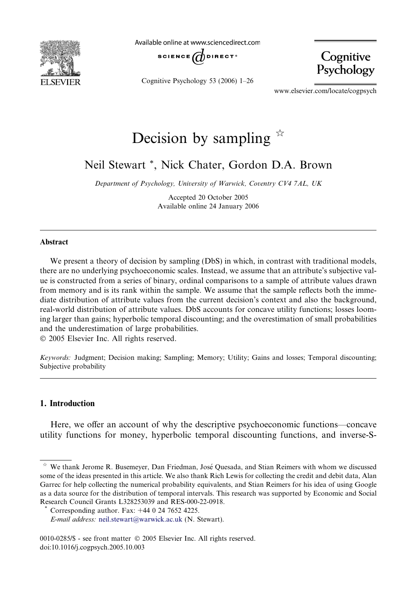

Available online at www.sciencedirect.com



Cognitive Psychology 53 (2006) 1–26

Cognitive Psychology

www.elsevier.com/locate/cogpsych

# Decision by sampling  $\overrightarrow{a}$

Neil Stewart \*, Nick Chater, Gordon D.A. Brown

Department of Psychology, University of Warwick, Coventry CV4 7AL, UK

Accepted 20 October 2005 Available online 24 January 2006

#### Abstract

We present a theory of decision by sampling (DbS) in which, in contrast with traditional models, there are no underlying psychoeconomic scales. Instead, we assume that an attribute's subjective value is constructed from a series of binary, ordinal comparisons to a sample of attribute values drawn from memory and is its rank within the sample. We assume that the sample reflects both the immediate distribution of attribute values from the current decision's context and also the background, real-world distribution of attribute values. DbS accounts for concave utility functions; losses looming larger than gains; hyperbolic temporal discounting; and the overestimation of small probabilities and the underestimation of large probabilities.

 $© 2005 Elsevier Inc. All rights reserved.$ 

Keywords: Judgment; Decision making; Sampling; Memory; Utility; Gains and losses; Temporal discounting; Subjective probability

#### 1. Introduction

Here, we offer an account of why the descriptive psychoeconomic functions—concave utility functions for money, hyperbolic temporal discounting functions, and inverse-S-

Corresponding author. Fax:  $+44$  0 24 7652 4225.

 $*$  We thank Jerome R. Busemeyer, Dan Friedman, José Quesada, and Stian Reimers with whom we discussed some of the ideas presented in this article. We also thank Rich Lewis for collecting the credit and debit data, Alan Garrec for help collecting the numerical probability equivalents, and Stian Reimers for his idea of using Google as a data source for the distribution of temporal intervals. This research was supported by Economic and Social Research Council Grants L328253039 and RES-000-22-0918.

E-mail address: [neil.stewart@warwick.ac.uk](mailto:neil.stewart@warwick.ac.uk) (N. Stewart).

<sup>0010-0285/\$ -</sup> see front matter © 2005 Elsevier Inc. All rights reserved. doi:10.1016/j.cogpsych.2005.10.003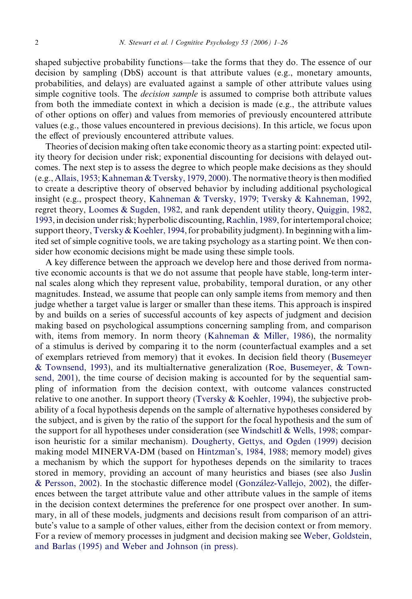shaped subjective probability functions—take the forms that they do. The essence of our decision by sampling (DbS) account is that attribute values (e.g., monetary amounts, probabilities, and delays) are evaluated against a sample of other attribute values using simple cognitive tools. The *decision sample* is assumed to comprise both attribute values from both the immediate context in which a decision is made (e.g., the attribute values of other options on offer) and values from memories of previously encountered attribute values (e.g., those values encountered in previous decisions). In this article, we focus upon the effect of previously encountered attribute values.

Theories of decision making often take economic theory as a starting point: expected utility theory for decision under risk; exponential discounting for decisions with delayed outcomes. The next step is to assess the degree to which people make decisions as they should (e.g., [Allais, 1953; Kahneman & Tversky, 1979, 2000](#page-21-0)). The normative theory is then modified to create a descriptive theory of observed behavior by including additional psychological insight (e.g., prospect theory, [Kahneman & Tversky, 1979; Tversky & Kahneman, 1992,](#page-23-0) regret theory, [Loomes & Sugden, 1982,](#page-23-0) and rank dependent utility theory, [Quiggin, 1982,](#page-24-0) [1993,](#page-24-0) in decision under risk; hyperbolic discounting, [Rachlin, 1989](#page-24-0), for intertemporal choice; support theory, [Tversky & Koehler, 1994,](#page-24-0) for probability judgment). In beginning with a limited set of simple cognitive tools, we are taking psychology as a starting point. We then consider how economic decisions might be made using these simple tools.

A key difference between the approach we develop here and those derived from normative economic accounts is that we do not assume that people have stable, long-term internal scales along which they represent value, probability, temporal duration, or any other magnitudes. Instead, we assume that people can only sample items from memory and then judge whether a target value is larger or smaller than these items. This approach is inspired by and builds on a series of successful accounts of key aspects of judgment and decision making based on psychological assumptions concerning sampling from, and comparison with, items from memory. In norm theory ([Kahneman & Miller, 1986\)](#page-23-0), the normality of a stimulus is derived by comparing it to the norm (counterfactual examples and a set of exemplars retrieved from memory) that it evokes. In decision field theory [\(Busemeyer](#page-22-0) [& Townsend, 1993](#page-22-0)), and its multialternative generalization [\(Roe, Busemeyer, & Town](#page-24-0)[send, 2001](#page-24-0)), the time course of decision making is accounted for by the sequential sampling of information from the decision context, with outcome valances constructed relative to one another. In support theory (Tversky  $&$  Koehler, 1994), the subjective probability of a focal hypothesis depends on the sample of alternative hypotheses considered by the subject, and is given by the ratio of the support for the focal hypothesis and the sum of the support for all hypotheses under consideration (see [Windschitl & Wells, 1998](#page-25-0); comparison heuristic for a similar mechanism). [Dougherty, Gettys, and Ogden \(1999\)](#page-22-0) decision making model MINERVA-DM (based on [Hintzman's, 1984, 1988;](#page-23-0) memory model) gives a mechanism by which the support for hypotheses depends on the similarity to traces stored in memory, providing an account of many heuristics and biases (see also [Juslin](#page-23-0) [& Persson, 2002\)](#page-23-0). In the stochastic difference model (González-Vallejo, 2002), the differences between the target attribute value and other attribute values in the sample of items in the decision context determines the preference for one prospect over another. In summary, in all of these models, judgments and decisions result from comparison of an attribute's value to a sample of other values, either from the decision context or from memory. For a review of memory processes in judgment and decision making see [Weber, Goldstein,](#page-25-0) [and Barlas \(1995\) and Weber and Johnson \(in press\)](#page-25-0).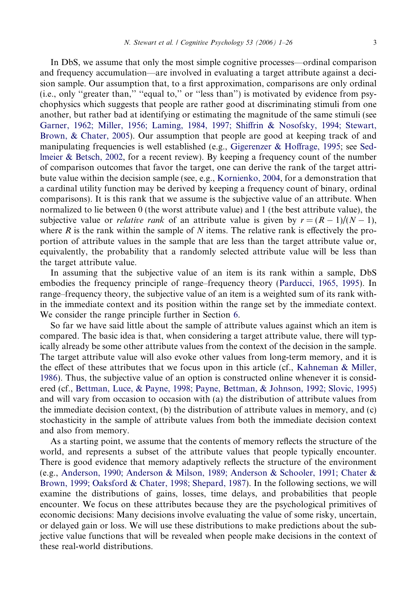In DbS, we assume that only the most simple cognitive processes—ordinal comparison and frequency accumulation—are involved in evaluating a target attribute against a decision sample. Our assumption that, to a first approximation, comparisons are only ordinal (i.e., only ''greater than,'' ''equal to,'' or ''less than'') is motivated by evidence from psychophysics which suggests that people are rather good at discriminating stimuli from one another, but rather bad at identifying or estimating the magnitude of the same stimuli (see [Garner, 1962; Miller, 1956; Laming, 1984, 1997; Shiffrin & Nosofsky, 1994; Stewart,](#page-22-0) [Brown, & Chater, 2005](#page-22-0)). Our assumption that people are good at keeping track of and manipulating frequencies is well established (e.g., [Gigerenzer & Hoffrage, 1995;](#page-22-0) see [Sed](#page-24-0)[lmeier & Betsch, 2002,](#page-24-0) for a recent review). By keeping a frequency count of the number of comparison outcomes that favor the target, one can derive the rank of the target attribute value within the decision sample (see, e.g., [Kornienko, 2004](#page-23-0), for a demonstration that a cardinal utility function may be derived by keeping a frequency count of binary, ordinal comparisons). It is this rank that we assume is the subjective value of an attribute. When normalized to lie between 0 (the worst attribute value) and 1 (the best attribute value), the subjective value or *relative rank* of an attribute value is given by  $r = (R - 1)/(N - 1)$ , where R is the rank within the sample of N items. The relative rank is effectively the proportion of attribute values in the sample that are less than the target attribute value or, equivalently, the probability that a randomly selected attribute value will be less than the target attribute value.

In assuming that the subjective value of an item is its rank within a sample, DbS embodies the frequency principle of range–frequency theory [\(Parducci, 1965, 1995](#page-24-0)). In range–frequency theory, the subjective value of an item is a weighted sum of its rank within the immediate context and its position within the range set by the immediate context. We consider the range principle further in Section [6](#page-18-0).

So far we have said little about the sample of attribute values against which an item is compared. The basic idea is that, when considering a target attribute value, there will typically already be some other attribute values from the context of the decision in the sample. The target attribute value will also evoke other values from long-term memory, and it is the effect of these attributes that we focus upon in this article (cf., [Kahneman & Miller,](#page-23-0) [1986](#page-23-0)). Thus, the subjective value of an option is constructed online whenever it is considered (cf., [Bettman, Luce, & Payne, 1998; Payne, Bettman, & Johnson, 1992; Slovic, 1995\)](#page-22-0) and will vary from occasion to occasion with (a) the distribution of attribute values from the immediate decision context, (b) the distribution of attribute values in memory, and (c) stochasticity in the sample of attribute values from both the immediate decision context and also from memory.

As a starting point, we assume that the contents of memory reflects the structure of the world, and represents a subset of the attribute values that people typically encounter. There is good evidence that memory adaptively reflects the structure of the environment (e.g., [Anderson, 1990; Anderson & Milson, 1989; Anderson & Schooler, 1991; Chater &](#page-21-0) [Brown, 1999; Oaksford & Chater, 1998; Shepard, 1987](#page-21-0)). In the following sections, we will examine the distributions of gains, losses, time delays, and probabilities that people encounter. We focus on these attributes because they are the psychological primitives of economic decisions: Many decisions involve evaluating the value of some risky, uncertain, or delayed gain or loss. We will use these distributions to make predictions about the subjective value functions that will be revealed when people make decisions in the context of these real-world distributions.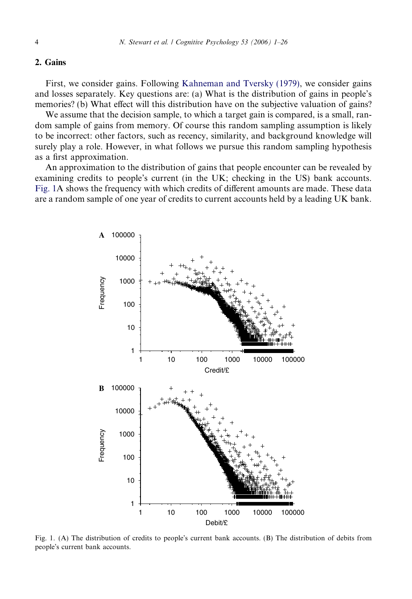## 2. Gains

First, we consider gains. Following [Kahneman and Tversky \(1979\),](#page-23-0) we consider gains and losses separately. Key questions are: (a) What is the distribution of gains in people's memories? (b) What effect will this distribution have on the subjective valuation of gains?

We assume that the decision sample, to which a target gain is compared, is a small, random sample of gains from memory. Of course this random sampling assumption is likely to be incorrect: other factors, such as recency, similarity, and background knowledge will surely play a role. However, in what follows we pursue this random sampling hypothesis as a first approximation.

An approximation to the distribution of gains that people encounter can be revealed by examining credits to people's current (in the UK; checking in the US) bank accounts. [Fig. 1](#page-3-0)A shows the frequency with which credits of different amounts are made. These data are a random sample of one year of credits to current accounts held by a leading UK bank.



<span id="page-3-0"></span>Fig. 1. (A) The distribution of credits to people's current bank accounts. (B) The distribution of debits from people's current bank accounts.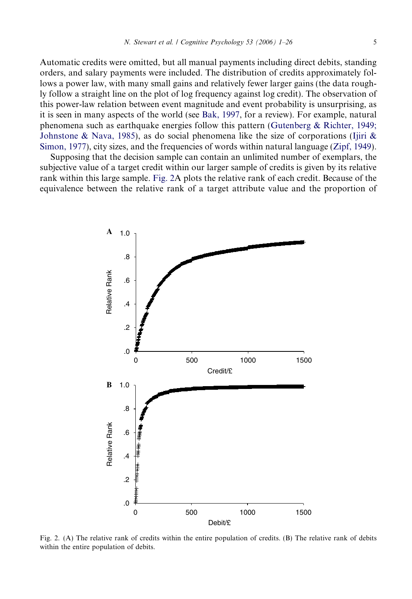Automatic credits were omitted, but all manual payments including direct debits, standing orders, and salary payments were included. The distribution of credits approximately follows a power law, with many small gains and relatively fewer larger gains (the data roughly follow a straight line on the plot of log frequency against log credit). The observation of this power-law relation between event magnitude and event probability is unsurprising, as it is seen in many aspects of the world (see [Bak, 1997](#page-21-0), for a review). For example, natural phenomena such as earthquake energies follow this pattern ([Gutenberg & Richter, 1949;](#page-23-0) [Johnstone & Nava, 1985\)](#page-23-0), as do social phenomena like the size of corporations (Ijiri  $\&$ [Simon, 1977\)](#page-23-0), city sizes, and the frequencies of words within natural language ([Zipf, 1949\)](#page-25-0).

Supposing that the decision sample can contain an unlimited number of exemplars, the subjective value of a target credit within our larger sample of credits is given by its relative rank within this large sample. [Fig. 2](#page-4-0)A plots the relative rank of each credit. Because of the equivalence between the relative rank of a target attribute value and the proportion of



<span id="page-4-0"></span>Fig. 2. (A) The relative rank of credits within the entire population of credits. (B) The relative rank of debits within the entire population of debits.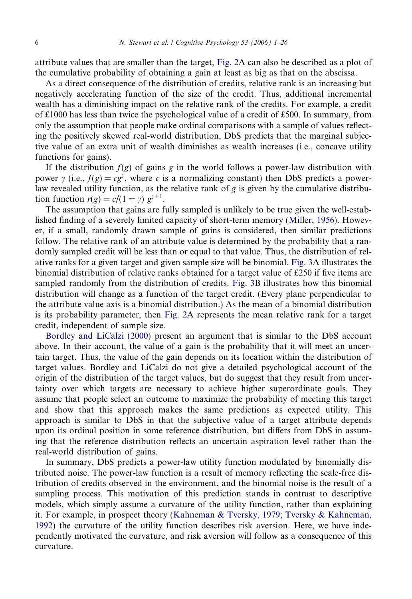attribute values that are smaller than the target, [Fig. 2](#page-4-0)A can also be described as a plot of the cumulative probability of obtaining a gain at least as big as that on the abscissa.

As a direct consequence of the distribution of credits, relative rank is an increasing but negatively accelerating function of the size of the credit. Thus, additional incremental wealth has a diminishing impact on the relative rank of the credits. For example, a credit of £1000 has less than twice the psychological value of a credit of £500. In summary, from only the assumption that people make ordinal comparisons with a sample of values reflecting the positively skewed real-world distribution, DbS predicts that the marginal subjective value of an extra unit of wealth diminishes as wealth increases (i.e., concave utility functions for gains).

If the distribution  $f(g)$  of gains g in the world follows a power-law distribution with power  $\gamma$  (i.e.,  $f(g) = cg^{\gamma}$ , where c is a normalizing constant) then DbS predicts a powerlaw revealed utility function, as the relative rank of  $g$  is given by the cumulative distribution function  $r(g) = c/(1 + \gamma) g^{\gamma+1}$ .

The assumption that gains are fully sampled is unlikely to be true given the well-established finding of a severely limited capacity of short-term memory ([Miller, 1956\)](#page-23-0). However, if a small, randomly drawn sample of gains is considered, then similar predictions follow. The relative rank of an attribute value is determined by the probability that a randomly sampled credit will be less than or equal to that value. Thus, the distribution of relative ranks for a given target and given sample size will be binomial. [Fig. 3](#page-6-0)A illustrates the binomial distribution of relative ranks obtained for a target value of £250 if five items are sampled randomly from the distribution of credits. [Fig. 3](#page-6-0)B illustrates how this binomial distribution will change as a function of the target credit. (Every plane perpendicular to the attribute value axis is a binomial distribution.) As the mean of a binomial distribution is its probability parameter, then [Fig. 2](#page-4-0)A represents the mean relative rank for a target credit, independent of sample size.

[Bordley and LiCalzi \(2000\)](#page-22-0) present an argument that is similar to the DbS account above. In their account, the value of a gain is the probability that it will meet an uncertain target. Thus, the value of the gain depends on its location within the distribution of target values. Bordley and LiCalzi do not give a detailed psychological account of the origin of the distribution of the target values, but do suggest that they result from uncertainty over which targets are necessary to achieve higher superordinate goals. They assume that people select an outcome to maximize the probability of meeting this target and show that this approach makes the same predictions as expected utility. This approach is similar to DbS in that the subjective value of a target attribute depends upon its ordinal position in some reference distribution, but differs from DbS in assuming that the reference distribution reflects an uncertain aspiration level rather than the real-world distribution of gains.

In summary, DbS predicts a power-law utility function modulated by binomially distributed noise. The power-law function is a result of memory reflecting the scale-free distribution of credits observed in the environment, and the binomial noise is the result of a sampling process. This motivation of this prediction stands in contrast to descriptive models, which simply assume a curvature of the utility function, rather than explaining it. For example, in prospect theory ([Kahneman & Tversky, 1979; Tversky & Kahneman,](#page-23-0) [1992\)](#page-23-0) the curvature of the utility function describes risk aversion. Here, we have independently motivated the curvature, and risk aversion will follow as a consequence of this curvature.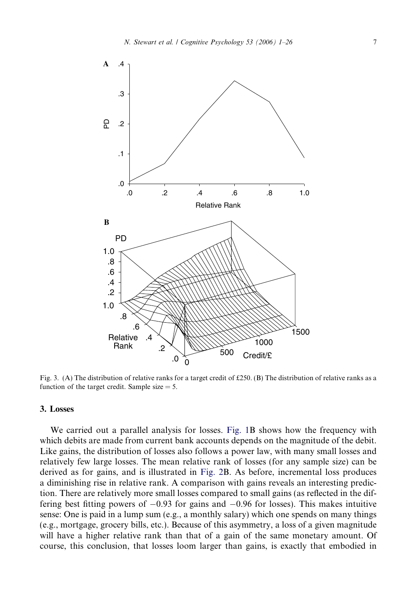

Fig. 3. (A) The distribution of relative ranks for a target credit of £250. (B) The distribution of relative ranks as a function of the target credit. Sample size  $= 5$ .

#### 3. Losses

<span id="page-6-0"></span>We carried out a parallel analysis for losses. [Fig. 1](#page-3-0)B shows how the frequency with which debits are made from current bank accounts depends on the magnitude of the debit. Like gains, the distribution of losses also follows a power law, with many small losses and relatively few large losses. The mean relative rank of losses (for any sample size) can be derived as for gains, and is illustrated in [Fig. 2B](#page-4-0). As before, incremental loss produces a diminishing rise in relative rank. A comparison with gains reveals an interesting prediction. There are relatively more small losses compared to small gains (as reflected in the differing best fitting powers of  $-0.93$  for gains and  $-0.96$  for losses). This makes intuitive sense: One is paid in a lump sum (e.g., a monthly salary) which one spends on many things (e.g., mortgage, grocery bills, etc.). Because of this asymmetry, a loss of a given magnitude will have a higher relative rank than that of a gain of the same monetary amount. Of course, this conclusion, that losses loom larger than gains, is exactly that embodied in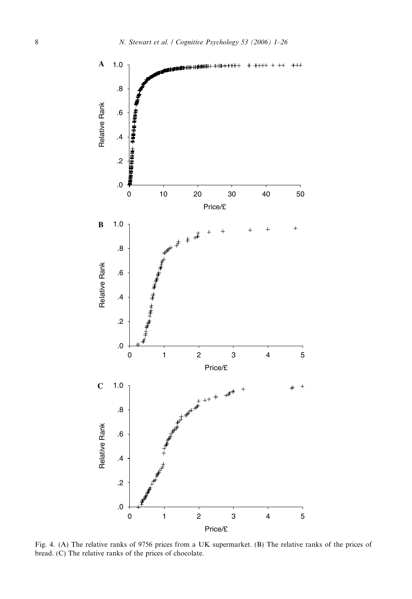

<span id="page-7-0"></span>Fig. 4. (A) The relative ranks of 9756 prices from a UK supermarket. (B) The relative ranks of the prices of bread. (C) The relative ranks of the prices of chocolate.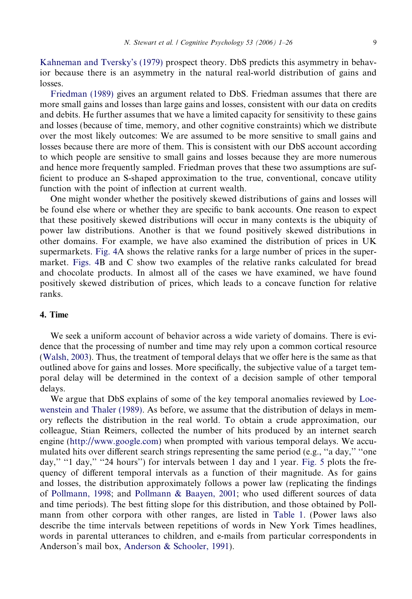[Kahneman and Tversky's \(1979\)](#page-23-0) prospect theory. DbS predicts this asymmetry in behavior because there is an asymmetry in the natural real-world distribution of gains and losses.

[Friedman \(1989\)](#page-22-0) gives an argument related to DbS. Friedman assumes that there are more small gains and losses than large gains and losses, consistent with our data on credits and debits. He further assumes that we have a limited capacity for sensitivity to these gains and losses (because of time, memory, and other cognitive constraints) which we distribute over the most likely outcomes: We are assumed to be more sensitive to small gains and losses because there are more of them. This is consistent with our DbS account according to which people are sensitive to small gains and losses because they are more numerous and hence more frequently sampled. Friedman proves that these two assumptions are sufficient to produce an S-shaped approximation to the true, conventional, concave utility function with the point of inflection at current wealth.

One might wonder whether the positively skewed distributions of gains and losses will be found else where or whether they are specific to bank accounts. One reason to expect that these positively skewed distributions will occur in many contexts is the ubiquity of power law distributions. Another is that we found positively skewed distributions in other domains. For example, we have also examined the distribution of prices in UK supermarkets. [Fig. 4](#page-7-0)A shows the relative ranks for a large number of prices in the supermarket. [Figs. 4B](#page-7-0) and C show two examples of the relative ranks calculated for bread and chocolate products. In almost all of the cases we have examined, we have found positively skewed distribution of prices, which leads to a concave function for relative ranks.

## 4. Time

We seek a uniform account of behavior across a wide variety of domains. There is evidence that the processing of number and time may rely upon a common cortical resource ([Walsh, 2003\)](#page-25-0). Thus, the treatment of temporal delays that we offer here is the same as that outlined above for gains and losses. More specifically, the subjective value of a target temporal delay will be determined in the context of a decision sample of other temporal delays.

We argue that DbS explains of some of the key temporal anomalies reviewed by [Loe](#page-23-0)[wenstein and Thaler \(1989\).](#page-23-0) As before, we assume that the distribution of delays in memory reflects the distribution in the real world. To obtain a crude approximation, our colleague, Stian Reimers, collected the number of hits produced by an internet search engine [\(http://www.google.com](http://www.google.com)) when prompted with various temporal delays. We accumulated hits over different search strings representing the same period (e.g., "a day," "one day," "1 day," "24 hours") for intervals between 1 day and 1 year. [Fig. 5](#page-9-0) plots the frequency of different temporal intervals as a function of their magnitude. As for gains and losses, the distribution approximately follows a power law (replicating the findings of [Pollmann, 1998](#page-24-0); and [Pollmann & Baayen, 2001;](#page-24-0) who used different sources of data and time periods). The best fitting slope for this distribution, and those obtained by Pollmann from other corpora with other ranges, are listed in [Table 1.](#page-9-0) (Power laws also describe the time intervals between repetitions of words in New York Times headlines, words in parental utterances to children, and e-mails from particular correspondents in Anderson's mail box, [Anderson & Schooler, 1991](#page-21-0)).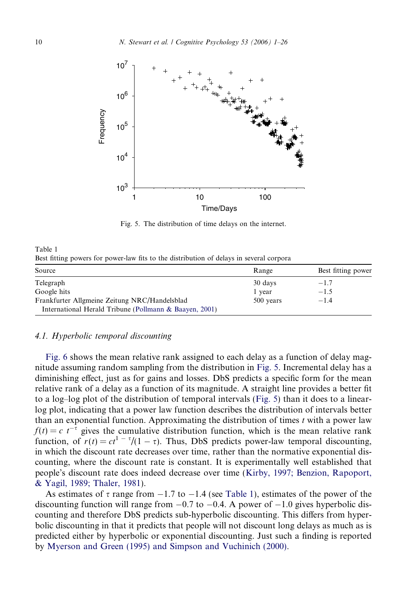

Fig. 5. The distribution of time delays on the internet.

Table 1 Best fitting powers for power-law fits to the distribution of delays in several corpora

| Source                                                 | Range     | Best fitting power |
|--------------------------------------------------------|-----------|--------------------|
| Telegraph                                              | 30 days   | $-1.7$             |
| Google hits                                            | 1 year    | $-1.5$             |
| Frankfurter Allgmeine Zeitung NRC/Handelsblad          | 500 years | $-1.4$             |
| International Herald Tribune (Pollmann & Baayen, 2001) |           |                    |

## 4.1. Hyperbolic temporal discounting

[Fig. 6](#page-10-0) shows the mean relative rank assigned to each delay as a function of delay magnitude assuming random sampling from the distribution in [Fig. 5](#page-9-0). Incremental delay has a diminishing effect, just as for gains and losses. DbS predicts a specific form for the mean relative rank of a delay as a function of its magnitude. A straight line provides a better fit to a log–log plot of the distribution of temporal intervals [\(Fig. 5](#page-9-0)) than it does to a linearlog plot, indicating that a power law function describes the distribution of intervals better than an exponential function. Approximating the distribution of times  $t$  with a power law  $f(t) = c t^{-\tau}$  gives the cumulative distribution function, which is the mean relative rank function, of  $r(t) = ct^{1-\tau}/(1-\tau)$ . Thus, DbS predicts power-law temporal discounting, in which the discount rate decreases over time, rather than the normative exponential discounting, where the discount rate is constant. It is experimentally well established that people's discount rate does indeed decrease over time [\(Kirby, 1997; Benzion, Rapoport,](#page-23-0) [& Yagil, 1989; Thaler, 1981\)](#page-23-0).

<span id="page-9-0"></span>As estimates of  $\tau$  range from  $-1.7$  to  $-1.4$  (see [Table 1](#page-9-0)), estimates of the power of the discounting function will range from  $-0.7$  to  $-0.4$ . A power of  $-1.0$  gives hyperbolic discounting and therefore DbS predicts sub-hyperbolic discounting. This differs from hyperbolic discounting in that it predicts that people will not discount long delays as much as is predicted either by hyperbolic or exponential discounting. Just such a finding is reported by [Myerson and Green \(1995\) and Simpson and Vuchinich \(2000\).](#page-23-0)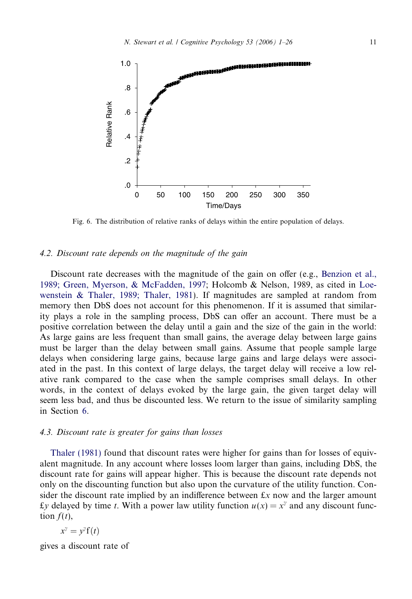

Fig. 6. The distribution of relative ranks of delays within the entire population of delays.

#### 4.2. Discount rate depends on the magnitude of the gain

Discount rate decreases with the magnitude of the gain on offer (e.g., [Benzion et al.,](#page-22-0) [1989; Green, Myerson, & McFadden, 1997](#page-22-0); Holcomb & Nelson, 1989, as cited in [Loe](#page-23-0)[wenstein & Thaler, 1989; Thaler, 1981](#page-23-0)). If magnitudes are sampled at random from memory then DbS does not account for this phenomenon. If it is assumed that similarity plays a role in the sampling process, DbS can offer an account. There must be a positive correlation between the delay until a gain and the size of the gain in the world: As large gains are less frequent than small gains, the average delay between large gains must be larger than the delay between small gains. Assume that people sample large delays when considering large gains, because large gains and large delays were associated in the past. In this context of large delays, the target delay will receive a low relative rank compared to the case when the sample comprises small delays. In other words, in the context of delays evoked by the large gain, the given target delay will seem less bad, and thus be discounted less. We return to the issue of similarity sampling in Section [6](#page-18-0).

#### 4.3. Discount rate is greater for gains than losses

[Thaler \(1981\)](#page-24-0) found that discount rates were higher for gains than for losses of equivalent magnitude. In any account where losses loom larger than gains, including DbS, the discount rate for gains will appear higher. This is because the discount rate depends not only on the discounting function but also upon the curvature of the utility function. Consider the discount rate implied by an indifference between  $\pounds x$  now and the larger amount  $\pounds y$  delayed by time t. With a power law utility function  $u(x) = x^{\gamma}$  and any discount function  $f(t)$ ,

$$
x^{\gamma} = y^{\gamma}f(t)
$$

<span id="page-10-0"></span>gives a discount rate of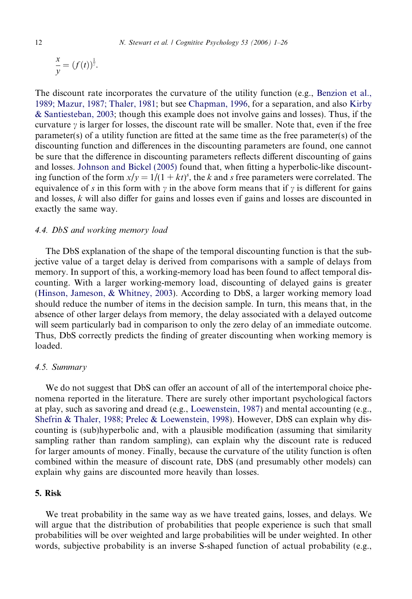$$
\frac{x}{y} = (f(t))^{\frac{1}{y}}.
$$

The discount rate incorporates the curvature of the utility function (e.g., [Benzion et al.,](#page-22-0) [1989; Mazur, 1987; Thaler, 1981](#page-22-0); but see [Chapman, 1996](#page-22-0), for a separation, and also [Kirby](#page-23-0) [& Santiesteban, 2003;](#page-23-0) though this example does not involve gains and losses). Thus, if the curvature  $\gamma$  is larger for losses, the discount rate will be smaller. Note that, even if the free parameter(s) of a utility function are fitted at the same time as the free parameter(s) of the discounting function and differences in the discounting parameters are found, one cannot be sure that the difference in discounting parameters reflects different discounting of gains and losses. [Johnson and Bickel \(2005\)](#page-23-0) found that, when fitting a hyperbolic-like discounting function of the form  $x/y = 1/(1 + kt)^s$ , the k and s free parameters were correlated. The equivalence of s in this form with  $\gamma$  in the above form means that if  $\gamma$  is different for gains and losses,  $k$  will also differ for gains and losses even if gains and losses are discounted in exactly the same way.

## 4.4. DbS and working memory load

The DbS explanation of the shape of the temporal discounting function is that the subjective value of a target delay is derived from comparisons with a sample of delays from memory. In support of this, a working-memory load has been found to affect temporal discounting. With a larger working-memory load, discounting of delayed gains is greater [\(Hinson, Jameson, & Whitney, 2003](#page-23-0)). According to DbS, a larger working memory load should reduce the number of items in the decision sample. In turn, this means that, in the absence of other larger delays from memory, the delay associated with a delayed outcome will seem particularly bad in comparison to only the zero delay of an immediate outcome. Thus, DbS correctly predicts the finding of greater discounting when working memory is loaded.

#### 4.5. Summary

We do not suggest that DbS can offer an account of all of the intertemporal choice phenomena reported in the literature. There are surely other important psychological factors at play, such as savoring and dread (e.g., [Loewenstein, 1987](#page-23-0)) and mental accounting (e.g., [Shefrin & Thaler, 1988; Prelec & Loewenstein, 1998\)](#page-24-0). However, DbS can explain why discounting is (sub)hyperbolic and, with a plausible modification (assuming that similarity sampling rather than random sampling), can explain why the discount rate is reduced for larger amounts of money. Finally, because the curvature of the utility function is often combined within the measure of discount rate, DbS (and presumably other models) can explain why gains are discounted more heavily than losses.

#### 5. Risk

We treat probability in the same way as we have treated gains, losses, and delays. We will argue that the distribution of probabilities that people experience is such that small probabilities will be over weighted and large probabilities will be under weighted. In other words, subjective probability is an inverse S-shaped function of actual probability (e.g.,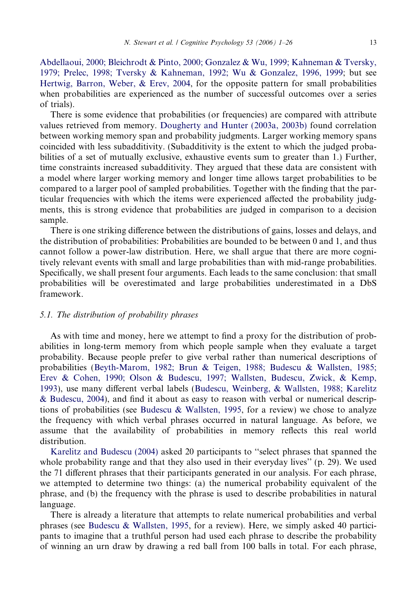[Abdellaoui, 2000; Bleichrodt & Pinto, 2000; Gonzalez & Wu, 1999; Kahneman & Tversky,](#page-21-0) [1979; Prelec, 1998; Tversky & Kahneman, 1992; Wu & Gonzalez, 1996, 1999;](#page-21-0) but see [Hertwig, Barron, Weber, & Erev, 2004](#page-23-0), for the opposite pattern for small probabilities when probabilities are experienced as the number of successful outcomes over a series of trials).

There is some evidence that probabilities (or frequencies) are compared with attribute values retrieved from memory. [Dougherty and Hunter \(2003a, 2003b\)](#page-22-0) found correlation between working memory span and probability judgments. Larger working memory spans coincided with less subadditivity. (Subadditivity is the extent to which the judged probabilities of a set of mutually exclusive, exhaustive events sum to greater than 1.) Further, time constraints increased subadditivity. They argued that these data are consistent with a model where larger working memory and longer time allows target probabilities to be compared to a larger pool of sampled probabilities. Together with the finding that the particular frequencies with which the items were experienced affected the probability judgments, this is strong evidence that probabilities are judged in comparison to a decision sample.

There is one striking difference between the distributions of gains, losses and delays, and the distribution of probabilities: Probabilities are bounded to be between 0 and 1, and thus cannot follow a power-law distribution. Here, we shall argue that there are more cognitively relevant events with small and large probabilities than with mid-range probabilities. Specifically, we shall present four arguments. Each leads to the same conclusion: that small probabilities will be overestimated and large probabilities underestimated in a DbS framework.

## 5.1. The distribution of probability phrases

As with time and money, here we attempt to find a proxy for the distribution of probabilities in long-term memory from which people sample when they evaluate a target probability. Because people prefer to give verbal rather than numerical descriptions of probabilities ([Beyth-Marom, 1982; Brun & Teigen, 1988; Budescu & Wallsten, 1985;](#page-22-0) [Erev & Cohen, 1990; Olson & Budescu, 1997; Wallsten, Budescu, Zwick, & Kemp,](#page-22-0) [1993](#page-22-0)), use many different verbal labels [\(Budescu, Weinberg, & Wallsten, 1988; Karelitz](#page-22-0) [& Budescu, 2004\)](#page-22-0), and find it about as easy to reason with verbal or numerical descrip-tions of probabilities (see [Budescu & Wallsten, 1995](#page-22-0), for a review) we chose to analyze the frequency with which verbal phrases occurred in natural language. As before, we assume that the availability of probabilities in memory reflects this real world distribution.

[Karelitz and Budescu \(2004\)](#page-23-0) asked 20 participants to ''select phrases that spanned the whole probability range and that they also used in their everyday lives'' (p. 29). We used the 71 different phrases that their participants generated in our analysis. For each phrase, we attempted to determine two things: (a) the numerical probability equivalent of the phrase, and (b) the frequency with the phrase is used to describe probabilities in natural language.

There is already a literature that attempts to relate numerical probabilities and verbal phrases (see [Budescu & Wallsten, 1995](#page-22-0), for a review). Here, we simply asked 40 participants to imagine that a truthful person had used each phrase to describe the probability of winning an urn draw by drawing a red ball from 100 balls in total. For each phrase,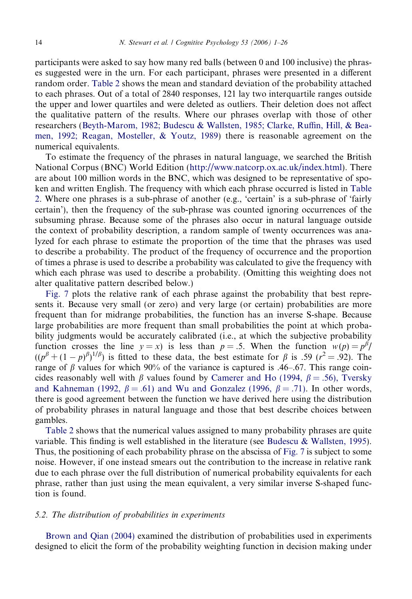participants were asked to say how many red balls (between 0 and 100 inclusive) the phrases suggested were in the urn. For each participant, phrases were presented in a different random order. [Table 2](#page-14-0) shows the mean and standard deviation of the probability attached to each phrases. Out of a total of 2840 responses, 121 lay two interquartile ranges outside the upper and lower quartiles and were deleted as outliers. Their deletion does not affect the qualitative pattern of the results. Where our phrases overlap with those of other researchers [\(Beyth-Marom, 1982; Budescu & Wallsten, 1985; Clarke, Ruffin, Hill, & Bea](#page-22-0)[men, 1992; Reagan, Mosteller, & Youtz, 1989\)](#page-22-0) there is reasonable agreement on the numerical equivalents.

To estimate the frequency of the phrases in natural language, we searched the British National Corpus (BNC) World Edition [\(http://www.natcorp.ox.ac.uk/index.html\)](http://www.natcorp.ox.ac.uk/index.html). There are about 100 million words in the BNC, which was designed to be representative of spoken and written English. The frequency with which each phrase occurred is listed in [Table](#page-14-0) [2.](#page-14-0) Where one phrases is a sub-phrase of another (e.g., 'certain' is a sub-phrase of 'fairly certain'), then the frequency of the sub-phrase was counted ignoring occurrences of the subsuming phrase. Because some of the phrases also occur in natural language outside the context of probability description, a random sample of twenty occurrences was analyzed for each phrase to estimate the proportion of the time that the phrases was used to describe a probability. The product of the frequency of occurrence and the proportion of times a phrase is used to describe a probability was calculated to give the frequency with which each phrase was used to describe a probability. (Omitting this weighting does not alter qualitative pattern described below.)

[Fig. 7](#page-15-0) plots the relative rank of each phrase against the probability that best represents it. Because very small (or zero) and very large (or certain) probabilities are more frequent than for midrange probabilities, the function has an inverse S-shape. Because large probabilities are more frequent than small probabilities the point at which probability judgments would be accurately calibrated (i.e., at which the subjective probability function crosses the line  $y = x$ ) is less than  $p = .5$ . When the function  $w(p) = p^{\beta}/p^{\beta}$  $((p^{\beta} + (1-p)^{\beta})^{1/\beta})$  is fitted to these data, the best estimate for  $\beta$  is .59 ( $r^2 = .92$ ). The range of  $\beta$  values for which 90% of the variance is captured is .46–.67. This range coincides reasonably well with  $\beta$  values found by [Camerer and Ho \(1994,](#page-22-0)  $\beta = .56$ ), Tversky [and Kahneman \(1992,](#page-22-0)  $\beta = .61$ ) and Wu and Gonzalez (1996,  $\beta = .71$ ). In other words, there is good agreement between the function we have derived here using the distribution of probability phrases in natural language and those that best describe choices between gambles.

[Table 2](#page-14-0) shows that the numerical values assigned to many probability phrases are quite variable. This finding is well established in the literature (see Budescu  $\&$  Wallsten, 1995). Thus, the positioning of each probability phrase on the abscissa of [Fig. 7](#page-15-0) is subject to some noise. However, if one instead smears out the contribution to the increase in relative rank due to each phrase over the full distribution of numerical probability equivalents for each phrase, rather than just using the mean equivalent, a very similar inverse S-shaped function is found.

## 5.2. The distribution of probabilities in experiments

[Brown and Qian \(2004\)](#page-22-0) examined the distribution of probabilities used in experiments designed to elicit the form of the probability weighting function in decision making under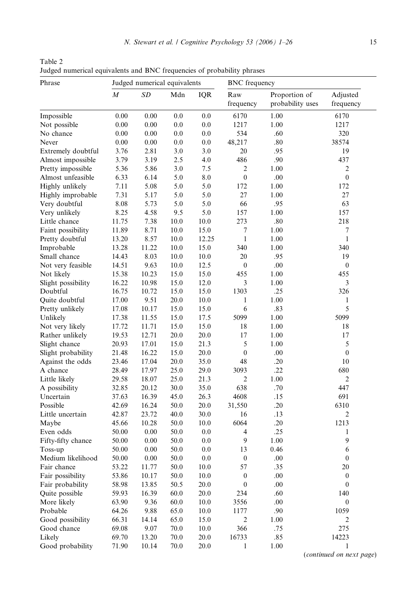Table 2 Judged numerical equivalents and BNC frequencies of probability phrases

| $\boldsymbol{M}$<br>SD<br><b>IQR</b><br>Raw<br>Proportion of<br>Mdn<br>Adjusted<br>probability uses<br>frequency<br>frequency<br>0.00<br>0.0<br>0.0<br>6170<br>1.00<br>6170<br>Impossible<br>0.00<br>Not possible<br>0.00<br>0.00<br>0.0<br>0.0<br>1217<br>1.00<br>1217<br>0.0<br>.60<br>320<br>No chance<br>0.00<br>0.00<br>$0.0\,$<br>534<br>0.00<br>0.0<br>48,217<br>.80<br>38574<br>0.00<br>$0.0\,$<br>Never<br>3.76<br>3.0<br>3.0<br>20<br>.95<br>19<br>Extremely doubtful<br>2.81<br>3.79<br>2.5<br>4.0<br>486<br>.90<br>437<br>Almost impossible<br>3.19<br>3.0<br>7.5<br>Pretty impossible<br>5.36<br>5.86<br>2<br>1.00<br>2<br>$\boldsymbol{0}$<br>Almost unfeasible<br>5.0<br>8.0<br>.00<br>$\boldsymbol{0}$<br>6.33<br>6.14<br>7.11<br>5.08<br>5.0<br>5.0<br>172<br>1.00<br>172<br>Highly unlikely<br>Highly improbable<br>7.31<br>5.17<br>5.0<br>5.0<br>27<br>27<br>1.00<br>Very doubtful<br>8.08<br>5.73<br>5.0<br>5.0<br>66<br>63<br>.95<br>Very unlikely<br>8.25<br>4.58<br>9.5<br>5.0<br>157<br>1.00<br>157<br>Little chance<br>11.75<br>7.38<br>273<br>.80<br>10.0<br>10.0<br>218<br>Faint possibility<br>11.89<br>8.71<br>10.0<br>15.0<br>7<br>1.00<br>7<br>$\mathbf{1}$<br>8.57<br>10.0<br>$\mathbf{1}$<br>Pretty doubtful<br>13.20<br>12.25<br>1.00<br>13.28<br>11.22<br>15.0<br>340<br>340<br>Improbable<br>10.0<br>1.00<br>8.03<br>20<br>19<br>Small chance<br>14.43<br>10.0<br>10.0<br>.95<br>14.51<br>9.63<br>12.5<br>$\boldsymbol{0}$<br>.00<br>0<br>Not very feasible<br>10.0<br>455<br>455<br>Not likely<br>15.38<br>10.23<br>15.0<br>15.0<br>1.00<br>Slight possibility<br>16.22<br>10.98<br>15.0<br>12.0<br>3<br>1.00<br>3<br>Doubtful<br>16.75<br>10.72<br>15.0<br>15.0<br>1303<br>.25<br>326<br>1.00<br>Quite doubtful<br>17.00<br>9.51<br>20.0<br>10.0<br>1<br>1<br>5<br>10.17<br>15.0<br>6<br>.83<br>Pretty unlikely<br>17.08<br>15.0<br>5099<br>5099<br>1.00<br>Unlikely<br>17.38<br>11.55<br>15.0<br>17.5<br>Not very likely<br>17.72<br>11.71<br>15.0<br>15.0<br>18<br>1.00<br>18<br>Rather unlikely<br>19.53<br>12.71<br>20.0<br>$20.0\,$<br>17<br>1.00<br>17<br>5<br>20.93<br>17.01<br>21.3<br>5<br>Slight chance<br>15.0<br>1.00<br>$\boldsymbol{0}$<br>$\boldsymbol{0}$<br>Slight probability<br>21.48<br>16.22<br>15.0<br>20.0<br>.00<br>20.0<br>35.0<br>48<br>.20<br>10<br>Against the odds<br>23.46<br>17.04<br>28.49<br>17.97<br>25.0<br>29.0<br>3093<br>.22<br>680<br>A chance<br>25.0<br>21.3<br>1.00<br>$\overline{c}$<br>Little likely<br>29.58<br>18.07<br>2<br>A possibility<br>32.85<br>30.0<br>35.0<br>638<br>.70<br>447<br>20.12<br>Uncertain<br>37.63<br>16.39<br>45.0<br>26.3<br>4608<br>.15<br>691<br>31,550<br>.20<br>6310<br>Possible<br>42.69<br>16.24<br>50.0<br>20.0<br>42.87<br>23.72<br>40.0<br>30.0<br>16<br>.13<br>2<br>Little uncertain<br>45.66<br>50.0<br>10.0<br>6064<br>.20<br>1213<br>Maybe<br>10.28<br>50.0<br>.25<br>Even odds<br>50.00<br>0.00<br>$0.0\,$<br>4<br>1<br>9<br>1.00<br>9<br>Fifty-fifty chance<br>50.00<br>0.00<br>50.0<br>$0.0\,$<br>0.46<br>Toss-up<br>50.00<br>0.00<br>50.0<br>$0.0\,$<br>13<br>6<br>Medium likelihood<br>50.0<br>.00<br>$\boldsymbol{0}$<br>50.00<br>0.00<br>0.0<br>$\boldsymbol{0}$<br>57<br>.35<br>20<br>Fair chance<br>53.22<br>11.77<br>50.0<br>10.0<br>Fair possibility<br>50.0<br>53.86<br>10.17<br>10.0<br>$\boldsymbol{0}$<br>$.00\,$<br>0<br>50.5<br>$.00\,$<br>Fair probability<br>58.98<br>13.85<br>20.0<br>$\boldsymbol{0}$<br>$\boldsymbol{0}$<br>Quite possible<br>59.93<br>16.39<br>60.0<br>20.0<br>234<br>.60<br>140<br>$.00\,$<br>More likely<br>63.90<br>9.36<br>60.0<br>10.0<br>3556<br>$\boldsymbol{0}$<br>Probable<br>9.88<br>65.0<br>10.0<br>1177<br>.90<br>1059<br>64.26<br>Good possibility<br>66.31<br>14.14<br>65.0<br>15.0<br>$\overline{c}$<br>1.00<br>2<br>366<br>Good chance<br>69.08<br>9.07<br>70.0<br>10.0<br>.75<br>275<br>16733<br>.85<br>14223<br>Likely<br>69.70<br>13.20<br>70.0<br>20.0 | Phrase           | Judged numerical equivalents<br><b>BNC</b> frequency |       |      |      |              |      |              |
|-------------------------------------------------------------------------------------------------------------------------------------------------------------------------------------------------------------------------------------------------------------------------------------------------------------------------------------------------------------------------------------------------------------------------------------------------------------------------------------------------------------------------------------------------------------------------------------------------------------------------------------------------------------------------------------------------------------------------------------------------------------------------------------------------------------------------------------------------------------------------------------------------------------------------------------------------------------------------------------------------------------------------------------------------------------------------------------------------------------------------------------------------------------------------------------------------------------------------------------------------------------------------------------------------------------------------------------------------------------------------------------------------------------------------------------------------------------------------------------------------------------------------------------------------------------------------------------------------------------------------------------------------------------------------------------------------------------------------------------------------------------------------------------------------------------------------------------------------------------------------------------------------------------------------------------------------------------------------------------------------------------------------------------------------------------------------------------------------------------------------------------------------------------------------------------------------------------------------------------------------------------------------------------------------------------------------------------------------------------------------------------------------------------------------------------------------------------------------------------------------------------------------------------------------------------------------------------------------------------------------------------------------------------------------------------------------------------------------------------------------------------------------------------------------------------------------------------------------------------------------------------------------------------------------------------------------------------------------------------------------------------------------------------------------------------------------------------------------------------------------------------------------------------------------------------------------------------------------------------------------------------------------------------------------------------------------------------------------------------------------------------------------------------------------------------------------------------------------------------------------------------------------------------------------------------------------------------------------------------------------------------------------------------------------------------------------------------------------------------------------------------------------------------------------------------------------------------------------------------------------------------------------------------------------------------------|------------------|------------------------------------------------------|-------|------|------|--------------|------|--------------|
|                                                                                                                                                                                                                                                                                                                                                                                                                                                                                                                                                                                                                                                                                                                                                                                                                                                                                                                                                                                                                                                                                                                                                                                                                                                                                                                                                                                                                                                                                                                                                                                                                                                                                                                                                                                                                                                                                                                                                                                                                                                                                                                                                                                                                                                                                                                                                                                                                                                                                                                                                                                                                                                                                                                                                                                                                                                                                                                                                                                                                                                                                                                                                                                                                                                                                                                                                                                                                                                                                                                                                                                                                                                                                                                                                                                                                                                                                                                                           |                  |                                                      |       |      |      |              |      |              |
|                                                                                                                                                                                                                                                                                                                                                                                                                                                                                                                                                                                                                                                                                                                                                                                                                                                                                                                                                                                                                                                                                                                                                                                                                                                                                                                                                                                                                                                                                                                                                                                                                                                                                                                                                                                                                                                                                                                                                                                                                                                                                                                                                                                                                                                                                                                                                                                                                                                                                                                                                                                                                                                                                                                                                                                                                                                                                                                                                                                                                                                                                                                                                                                                                                                                                                                                                                                                                                                                                                                                                                                                                                                                                                                                                                                                                                                                                                                                           |                  |                                                      |       |      |      |              |      |              |
|                                                                                                                                                                                                                                                                                                                                                                                                                                                                                                                                                                                                                                                                                                                                                                                                                                                                                                                                                                                                                                                                                                                                                                                                                                                                                                                                                                                                                                                                                                                                                                                                                                                                                                                                                                                                                                                                                                                                                                                                                                                                                                                                                                                                                                                                                                                                                                                                                                                                                                                                                                                                                                                                                                                                                                                                                                                                                                                                                                                                                                                                                                                                                                                                                                                                                                                                                                                                                                                                                                                                                                                                                                                                                                                                                                                                                                                                                                                                           |                  |                                                      |       |      |      |              |      |              |
|                                                                                                                                                                                                                                                                                                                                                                                                                                                                                                                                                                                                                                                                                                                                                                                                                                                                                                                                                                                                                                                                                                                                                                                                                                                                                                                                                                                                                                                                                                                                                                                                                                                                                                                                                                                                                                                                                                                                                                                                                                                                                                                                                                                                                                                                                                                                                                                                                                                                                                                                                                                                                                                                                                                                                                                                                                                                                                                                                                                                                                                                                                                                                                                                                                                                                                                                                                                                                                                                                                                                                                                                                                                                                                                                                                                                                                                                                                                                           |                  |                                                      |       |      |      |              |      |              |
|                                                                                                                                                                                                                                                                                                                                                                                                                                                                                                                                                                                                                                                                                                                                                                                                                                                                                                                                                                                                                                                                                                                                                                                                                                                                                                                                                                                                                                                                                                                                                                                                                                                                                                                                                                                                                                                                                                                                                                                                                                                                                                                                                                                                                                                                                                                                                                                                                                                                                                                                                                                                                                                                                                                                                                                                                                                                                                                                                                                                                                                                                                                                                                                                                                                                                                                                                                                                                                                                                                                                                                                                                                                                                                                                                                                                                                                                                                                                           |                  |                                                      |       |      |      |              |      |              |
|                                                                                                                                                                                                                                                                                                                                                                                                                                                                                                                                                                                                                                                                                                                                                                                                                                                                                                                                                                                                                                                                                                                                                                                                                                                                                                                                                                                                                                                                                                                                                                                                                                                                                                                                                                                                                                                                                                                                                                                                                                                                                                                                                                                                                                                                                                                                                                                                                                                                                                                                                                                                                                                                                                                                                                                                                                                                                                                                                                                                                                                                                                                                                                                                                                                                                                                                                                                                                                                                                                                                                                                                                                                                                                                                                                                                                                                                                                                                           |                  |                                                      |       |      |      |              |      |              |
|                                                                                                                                                                                                                                                                                                                                                                                                                                                                                                                                                                                                                                                                                                                                                                                                                                                                                                                                                                                                                                                                                                                                                                                                                                                                                                                                                                                                                                                                                                                                                                                                                                                                                                                                                                                                                                                                                                                                                                                                                                                                                                                                                                                                                                                                                                                                                                                                                                                                                                                                                                                                                                                                                                                                                                                                                                                                                                                                                                                                                                                                                                                                                                                                                                                                                                                                                                                                                                                                                                                                                                                                                                                                                                                                                                                                                                                                                                                                           |                  |                                                      |       |      |      |              |      |              |
|                                                                                                                                                                                                                                                                                                                                                                                                                                                                                                                                                                                                                                                                                                                                                                                                                                                                                                                                                                                                                                                                                                                                                                                                                                                                                                                                                                                                                                                                                                                                                                                                                                                                                                                                                                                                                                                                                                                                                                                                                                                                                                                                                                                                                                                                                                                                                                                                                                                                                                                                                                                                                                                                                                                                                                                                                                                                                                                                                                                                                                                                                                                                                                                                                                                                                                                                                                                                                                                                                                                                                                                                                                                                                                                                                                                                                                                                                                                                           |                  |                                                      |       |      |      |              |      |              |
|                                                                                                                                                                                                                                                                                                                                                                                                                                                                                                                                                                                                                                                                                                                                                                                                                                                                                                                                                                                                                                                                                                                                                                                                                                                                                                                                                                                                                                                                                                                                                                                                                                                                                                                                                                                                                                                                                                                                                                                                                                                                                                                                                                                                                                                                                                                                                                                                                                                                                                                                                                                                                                                                                                                                                                                                                                                                                                                                                                                                                                                                                                                                                                                                                                                                                                                                                                                                                                                                                                                                                                                                                                                                                                                                                                                                                                                                                                                                           |                  |                                                      |       |      |      |              |      |              |
|                                                                                                                                                                                                                                                                                                                                                                                                                                                                                                                                                                                                                                                                                                                                                                                                                                                                                                                                                                                                                                                                                                                                                                                                                                                                                                                                                                                                                                                                                                                                                                                                                                                                                                                                                                                                                                                                                                                                                                                                                                                                                                                                                                                                                                                                                                                                                                                                                                                                                                                                                                                                                                                                                                                                                                                                                                                                                                                                                                                                                                                                                                                                                                                                                                                                                                                                                                                                                                                                                                                                                                                                                                                                                                                                                                                                                                                                                                                                           |                  |                                                      |       |      |      |              |      |              |
|                                                                                                                                                                                                                                                                                                                                                                                                                                                                                                                                                                                                                                                                                                                                                                                                                                                                                                                                                                                                                                                                                                                                                                                                                                                                                                                                                                                                                                                                                                                                                                                                                                                                                                                                                                                                                                                                                                                                                                                                                                                                                                                                                                                                                                                                                                                                                                                                                                                                                                                                                                                                                                                                                                                                                                                                                                                                                                                                                                                                                                                                                                                                                                                                                                                                                                                                                                                                                                                                                                                                                                                                                                                                                                                                                                                                                                                                                                                                           |                  |                                                      |       |      |      |              |      |              |
|                                                                                                                                                                                                                                                                                                                                                                                                                                                                                                                                                                                                                                                                                                                                                                                                                                                                                                                                                                                                                                                                                                                                                                                                                                                                                                                                                                                                                                                                                                                                                                                                                                                                                                                                                                                                                                                                                                                                                                                                                                                                                                                                                                                                                                                                                                                                                                                                                                                                                                                                                                                                                                                                                                                                                                                                                                                                                                                                                                                                                                                                                                                                                                                                                                                                                                                                                                                                                                                                                                                                                                                                                                                                                                                                                                                                                                                                                                                                           |                  |                                                      |       |      |      |              |      |              |
|                                                                                                                                                                                                                                                                                                                                                                                                                                                                                                                                                                                                                                                                                                                                                                                                                                                                                                                                                                                                                                                                                                                                                                                                                                                                                                                                                                                                                                                                                                                                                                                                                                                                                                                                                                                                                                                                                                                                                                                                                                                                                                                                                                                                                                                                                                                                                                                                                                                                                                                                                                                                                                                                                                                                                                                                                                                                                                                                                                                                                                                                                                                                                                                                                                                                                                                                                                                                                                                                                                                                                                                                                                                                                                                                                                                                                                                                                                                                           |                  |                                                      |       |      |      |              |      |              |
|                                                                                                                                                                                                                                                                                                                                                                                                                                                                                                                                                                                                                                                                                                                                                                                                                                                                                                                                                                                                                                                                                                                                                                                                                                                                                                                                                                                                                                                                                                                                                                                                                                                                                                                                                                                                                                                                                                                                                                                                                                                                                                                                                                                                                                                                                                                                                                                                                                                                                                                                                                                                                                                                                                                                                                                                                                                                                                                                                                                                                                                                                                                                                                                                                                                                                                                                                                                                                                                                                                                                                                                                                                                                                                                                                                                                                                                                                                                                           |                  |                                                      |       |      |      |              |      |              |
|                                                                                                                                                                                                                                                                                                                                                                                                                                                                                                                                                                                                                                                                                                                                                                                                                                                                                                                                                                                                                                                                                                                                                                                                                                                                                                                                                                                                                                                                                                                                                                                                                                                                                                                                                                                                                                                                                                                                                                                                                                                                                                                                                                                                                                                                                                                                                                                                                                                                                                                                                                                                                                                                                                                                                                                                                                                                                                                                                                                                                                                                                                                                                                                                                                                                                                                                                                                                                                                                                                                                                                                                                                                                                                                                                                                                                                                                                                                                           |                  |                                                      |       |      |      |              |      |              |
|                                                                                                                                                                                                                                                                                                                                                                                                                                                                                                                                                                                                                                                                                                                                                                                                                                                                                                                                                                                                                                                                                                                                                                                                                                                                                                                                                                                                                                                                                                                                                                                                                                                                                                                                                                                                                                                                                                                                                                                                                                                                                                                                                                                                                                                                                                                                                                                                                                                                                                                                                                                                                                                                                                                                                                                                                                                                                                                                                                                                                                                                                                                                                                                                                                                                                                                                                                                                                                                                                                                                                                                                                                                                                                                                                                                                                                                                                                                                           |                  |                                                      |       |      |      |              |      |              |
|                                                                                                                                                                                                                                                                                                                                                                                                                                                                                                                                                                                                                                                                                                                                                                                                                                                                                                                                                                                                                                                                                                                                                                                                                                                                                                                                                                                                                                                                                                                                                                                                                                                                                                                                                                                                                                                                                                                                                                                                                                                                                                                                                                                                                                                                                                                                                                                                                                                                                                                                                                                                                                                                                                                                                                                                                                                                                                                                                                                                                                                                                                                                                                                                                                                                                                                                                                                                                                                                                                                                                                                                                                                                                                                                                                                                                                                                                                                                           |                  |                                                      |       |      |      |              |      |              |
|                                                                                                                                                                                                                                                                                                                                                                                                                                                                                                                                                                                                                                                                                                                                                                                                                                                                                                                                                                                                                                                                                                                                                                                                                                                                                                                                                                                                                                                                                                                                                                                                                                                                                                                                                                                                                                                                                                                                                                                                                                                                                                                                                                                                                                                                                                                                                                                                                                                                                                                                                                                                                                                                                                                                                                                                                                                                                                                                                                                                                                                                                                                                                                                                                                                                                                                                                                                                                                                                                                                                                                                                                                                                                                                                                                                                                                                                                                                                           |                  |                                                      |       |      |      |              |      |              |
|                                                                                                                                                                                                                                                                                                                                                                                                                                                                                                                                                                                                                                                                                                                                                                                                                                                                                                                                                                                                                                                                                                                                                                                                                                                                                                                                                                                                                                                                                                                                                                                                                                                                                                                                                                                                                                                                                                                                                                                                                                                                                                                                                                                                                                                                                                                                                                                                                                                                                                                                                                                                                                                                                                                                                                                                                                                                                                                                                                                                                                                                                                                                                                                                                                                                                                                                                                                                                                                                                                                                                                                                                                                                                                                                                                                                                                                                                                                                           |                  |                                                      |       |      |      |              |      |              |
|                                                                                                                                                                                                                                                                                                                                                                                                                                                                                                                                                                                                                                                                                                                                                                                                                                                                                                                                                                                                                                                                                                                                                                                                                                                                                                                                                                                                                                                                                                                                                                                                                                                                                                                                                                                                                                                                                                                                                                                                                                                                                                                                                                                                                                                                                                                                                                                                                                                                                                                                                                                                                                                                                                                                                                                                                                                                                                                                                                                                                                                                                                                                                                                                                                                                                                                                                                                                                                                                                                                                                                                                                                                                                                                                                                                                                                                                                                                                           |                  |                                                      |       |      |      |              |      |              |
|                                                                                                                                                                                                                                                                                                                                                                                                                                                                                                                                                                                                                                                                                                                                                                                                                                                                                                                                                                                                                                                                                                                                                                                                                                                                                                                                                                                                                                                                                                                                                                                                                                                                                                                                                                                                                                                                                                                                                                                                                                                                                                                                                                                                                                                                                                                                                                                                                                                                                                                                                                                                                                                                                                                                                                                                                                                                                                                                                                                                                                                                                                                                                                                                                                                                                                                                                                                                                                                                                                                                                                                                                                                                                                                                                                                                                                                                                                                                           |                  |                                                      |       |      |      |              |      |              |
|                                                                                                                                                                                                                                                                                                                                                                                                                                                                                                                                                                                                                                                                                                                                                                                                                                                                                                                                                                                                                                                                                                                                                                                                                                                                                                                                                                                                                                                                                                                                                                                                                                                                                                                                                                                                                                                                                                                                                                                                                                                                                                                                                                                                                                                                                                                                                                                                                                                                                                                                                                                                                                                                                                                                                                                                                                                                                                                                                                                                                                                                                                                                                                                                                                                                                                                                                                                                                                                                                                                                                                                                                                                                                                                                                                                                                                                                                                                                           |                  |                                                      |       |      |      |              |      |              |
|                                                                                                                                                                                                                                                                                                                                                                                                                                                                                                                                                                                                                                                                                                                                                                                                                                                                                                                                                                                                                                                                                                                                                                                                                                                                                                                                                                                                                                                                                                                                                                                                                                                                                                                                                                                                                                                                                                                                                                                                                                                                                                                                                                                                                                                                                                                                                                                                                                                                                                                                                                                                                                                                                                                                                                                                                                                                                                                                                                                                                                                                                                                                                                                                                                                                                                                                                                                                                                                                                                                                                                                                                                                                                                                                                                                                                                                                                                                                           |                  |                                                      |       |      |      |              |      |              |
|                                                                                                                                                                                                                                                                                                                                                                                                                                                                                                                                                                                                                                                                                                                                                                                                                                                                                                                                                                                                                                                                                                                                                                                                                                                                                                                                                                                                                                                                                                                                                                                                                                                                                                                                                                                                                                                                                                                                                                                                                                                                                                                                                                                                                                                                                                                                                                                                                                                                                                                                                                                                                                                                                                                                                                                                                                                                                                                                                                                                                                                                                                                                                                                                                                                                                                                                                                                                                                                                                                                                                                                                                                                                                                                                                                                                                                                                                                                                           |                  |                                                      |       |      |      |              |      |              |
|                                                                                                                                                                                                                                                                                                                                                                                                                                                                                                                                                                                                                                                                                                                                                                                                                                                                                                                                                                                                                                                                                                                                                                                                                                                                                                                                                                                                                                                                                                                                                                                                                                                                                                                                                                                                                                                                                                                                                                                                                                                                                                                                                                                                                                                                                                                                                                                                                                                                                                                                                                                                                                                                                                                                                                                                                                                                                                                                                                                                                                                                                                                                                                                                                                                                                                                                                                                                                                                                                                                                                                                                                                                                                                                                                                                                                                                                                                                                           |                  |                                                      |       |      |      |              |      |              |
|                                                                                                                                                                                                                                                                                                                                                                                                                                                                                                                                                                                                                                                                                                                                                                                                                                                                                                                                                                                                                                                                                                                                                                                                                                                                                                                                                                                                                                                                                                                                                                                                                                                                                                                                                                                                                                                                                                                                                                                                                                                                                                                                                                                                                                                                                                                                                                                                                                                                                                                                                                                                                                                                                                                                                                                                                                                                                                                                                                                                                                                                                                                                                                                                                                                                                                                                                                                                                                                                                                                                                                                                                                                                                                                                                                                                                                                                                                                                           |                  |                                                      |       |      |      |              |      |              |
|                                                                                                                                                                                                                                                                                                                                                                                                                                                                                                                                                                                                                                                                                                                                                                                                                                                                                                                                                                                                                                                                                                                                                                                                                                                                                                                                                                                                                                                                                                                                                                                                                                                                                                                                                                                                                                                                                                                                                                                                                                                                                                                                                                                                                                                                                                                                                                                                                                                                                                                                                                                                                                                                                                                                                                                                                                                                                                                                                                                                                                                                                                                                                                                                                                                                                                                                                                                                                                                                                                                                                                                                                                                                                                                                                                                                                                                                                                                                           |                  |                                                      |       |      |      |              |      |              |
|                                                                                                                                                                                                                                                                                                                                                                                                                                                                                                                                                                                                                                                                                                                                                                                                                                                                                                                                                                                                                                                                                                                                                                                                                                                                                                                                                                                                                                                                                                                                                                                                                                                                                                                                                                                                                                                                                                                                                                                                                                                                                                                                                                                                                                                                                                                                                                                                                                                                                                                                                                                                                                                                                                                                                                                                                                                                                                                                                                                                                                                                                                                                                                                                                                                                                                                                                                                                                                                                                                                                                                                                                                                                                                                                                                                                                                                                                                                                           |                  |                                                      |       |      |      |              |      |              |
|                                                                                                                                                                                                                                                                                                                                                                                                                                                                                                                                                                                                                                                                                                                                                                                                                                                                                                                                                                                                                                                                                                                                                                                                                                                                                                                                                                                                                                                                                                                                                                                                                                                                                                                                                                                                                                                                                                                                                                                                                                                                                                                                                                                                                                                                                                                                                                                                                                                                                                                                                                                                                                                                                                                                                                                                                                                                                                                                                                                                                                                                                                                                                                                                                                                                                                                                                                                                                                                                                                                                                                                                                                                                                                                                                                                                                                                                                                                                           |                  |                                                      |       |      |      |              |      |              |
|                                                                                                                                                                                                                                                                                                                                                                                                                                                                                                                                                                                                                                                                                                                                                                                                                                                                                                                                                                                                                                                                                                                                                                                                                                                                                                                                                                                                                                                                                                                                                                                                                                                                                                                                                                                                                                                                                                                                                                                                                                                                                                                                                                                                                                                                                                                                                                                                                                                                                                                                                                                                                                                                                                                                                                                                                                                                                                                                                                                                                                                                                                                                                                                                                                                                                                                                                                                                                                                                                                                                                                                                                                                                                                                                                                                                                                                                                                                                           |                  |                                                      |       |      |      |              |      |              |
|                                                                                                                                                                                                                                                                                                                                                                                                                                                                                                                                                                                                                                                                                                                                                                                                                                                                                                                                                                                                                                                                                                                                                                                                                                                                                                                                                                                                                                                                                                                                                                                                                                                                                                                                                                                                                                                                                                                                                                                                                                                                                                                                                                                                                                                                                                                                                                                                                                                                                                                                                                                                                                                                                                                                                                                                                                                                                                                                                                                                                                                                                                                                                                                                                                                                                                                                                                                                                                                                                                                                                                                                                                                                                                                                                                                                                                                                                                                                           |                  |                                                      |       |      |      |              |      |              |
|                                                                                                                                                                                                                                                                                                                                                                                                                                                                                                                                                                                                                                                                                                                                                                                                                                                                                                                                                                                                                                                                                                                                                                                                                                                                                                                                                                                                                                                                                                                                                                                                                                                                                                                                                                                                                                                                                                                                                                                                                                                                                                                                                                                                                                                                                                                                                                                                                                                                                                                                                                                                                                                                                                                                                                                                                                                                                                                                                                                                                                                                                                                                                                                                                                                                                                                                                                                                                                                                                                                                                                                                                                                                                                                                                                                                                                                                                                                                           |                  |                                                      |       |      |      |              |      |              |
|                                                                                                                                                                                                                                                                                                                                                                                                                                                                                                                                                                                                                                                                                                                                                                                                                                                                                                                                                                                                                                                                                                                                                                                                                                                                                                                                                                                                                                                                                                                                                                                                                                                                                                                                                                                                                                                                                                                                                                                                                                                                                                                                                                                                                                                                                                                                                                                                                                                                                                                                                                                                                                                                                                                                                                                                                                                                                                                                                                                                                                                                                                                                                                                                                                                                                                                                                                                                                                                                                                                                                                                                                                                                                                                                                                                                                                                                                                                                           |                  |                                                      |       |      |      |              |      |              |
|                                                                                                                                                                                                                                                                                                                                                                                                                                                                                                                                                                                                                                                                                                                                                                                                                                                                                                                                                                                                                                                                                                                                                                                                                                                                                                                                                                                                                                                                                                                                                                                                                                                                                                                                                                                                                                                                                                                                                                                                                                                                                                                                                                                                                                                                                                                                                                                                                                                                                                                                                                                                                                                                                                                                                                                                                                                                                                                                                                                                                                                                                                                                                                                                                                                                                                                                                                                                                                                                                                                                                                                                                                                                                                                                                                                                                                                                                                                                           |                  |                                                      |       |      |      |              |      |              |
|                                                                                                                                                                                                                                                                                                                                                                                                                                                                                                                                                                                                                                                                                                                                                                                                                                                                                                                                                                                                                                                                                                                                                                                                                                                                                                                                                                                                                                                                                                                                                                                                                                                                                                                                                                                                                                                                                                                                                                                                                                                                                                                                                                                                                                                                                                                                                                                                                                                                                                                                                                                                                                                                                                                                                                                                                                                                                                                                                                                                                                                                                                                                                                                                                                                                                                                                                                                                                                                                                                                                                                                                                                                                                                                                                                                                                                                                                                                                           |                  |                                                      |       |      |      |              |      |              |
|                                                                                                                                                                                                                                                                                                                                                                                                                                                                                                                                                                                                                                                                                                                                                                                                                                                                                                                                                                                                                                                                                                                                                                                                                                                                                                                                                                                                                                                                                                                                                                                                                                                                                                                                                                                                                                                                                                                                                                                                                                                                                                                                                                                                                                                                                                                                                                                                                                                                                                                                                                                                                                                                                                                                                                                                                                                                                                                                                                                                                                                                                                                                                                                                                                                                                                                                                                                                                                                                                                                                                                                                                                                                                                                                                                                                                                                                                                                                           |                  |                                                      |       |      |      |              |      |              |
|                                                                                                                                                                                                                                                                                                                                                                                                                                                                                                                                                                                                                                                                                                                                                                                                                                                                                                                                                                                                                                                                                                                                                                                                                                                                                                                                                                                                                                                                                                                                                                                                                                                                                                                                                                                                                                                                                                                                                                                                                                                                                                                                                                                                                                                                                                                                                                                                                                                                                                                                                                                                                                                                                                                                                                                                                                                                                                                                                                                                                                                                                                                                                                                                                                                                                                                                                                                                                                                                                                                                                                                                                                                                                                                                                                                                                                                                                                                                           |                  |                                                      |       |      |      |              |      |              |
|                                                                                                                                                                                                                                                                                                                                                                                                                                                                                                                                                                                                                                                                                                                                                                                                                                                                                                                                                                                                                                                                                                                                                                                                                                                                                                                                                                                                                                                                                                                                                                                                                                                                                                                                                                                                                                                                                                                                                                                                                                                                                                                                                                                                                                                                                                                                                                                                                                                                                                                                                                                                                                                                                                                                                                                                                                                                                                                                                                                                                                                                                                                                                                                                                                                                                                                                                                                                                                                                                                                                                                                                                                                                                                                                                                                                                                                                                                                                           |                  |                                                      |       |      |      |              |      |              |
|                                                                                                                                                                                                                                                                                                                                                                                                                                                                                                                                                                                                                                                                                                                                                                                                                                                                                                                                                                                                                                                                                                                                                                                                                                                                                                                                                                                                                                                                                                                                                                                                                                                                                                                                                                                                                                                                                                                                                                                                                                                                                                                                                                                                                                                                                                                                                                                                                                                                                                                                                                                                                                                                                                                                                                                                                                                                                                                                                                                                                                                                                                                                                                                                                                                                                                                                                                                                                                                                                                                                                                                                                                                                                                                                                                                                                                                                                                                                           |                  |                                                      |       |      |      |              |      |              |
|                                                                                                                                                                                                                                                                                                                                                                                                                                                                                                                                                                                                                                                                                                                                                                                                                                                                                                                                                                                                                                                                                                                                                                                                                                                                                                                                                                                                                                                                                                                                                                                                                                                                                                                                                                                                                                                                                                                                                                                                                                                                                                                                                                                                                                                                                                                                                                                                                                                                                                                                                                                                                                                                                                                                                                                                                                                                                                                                                                                                                                                                                                                                                                                                                                                                                                                                                                                                                                                                                                                                                                                                                                                                                                                                                                                                                                                                                                                                           |                  |                                                      |       |      |      |              |      |              |
|                                                                                                                                                                                                                                                                                                                                                                                                                                                                                                                                                                                                                                                                                                                                                                                                                                                                                                                                                                                                                                                                                                                                                                                                                                                                                                                                                                                                                                                                                                                                                                                                                                                                                                                                                                                                                                                                                                                                                                                                                                                                                                                                                                                                                                                                                                                                                                                                                                                                                                                                                                                                                                                                                                                                                                                                                                                                                                                                                                                                                                                                                                                                                                                                                                                                                                                                                                                                                                                                                                                                                                                                                                                                                                                                                                                                                                                                                                                                           |                  |                                                      |       |      |      |              |      |              |
|                                                                                                                                                                                                                                                                                                                                                                                                                                                                                                                                                                                                                                                                                                                                                                                                                                                                                                                                                                                                                                                                                                                                                                                                                                                                                                                                                                                                                                                                                                                                                                                                                                                                                                                                                                                                                                                                                                                                                                                                                                                                                                                                                                                                                                                                                                                                                                                                                                                                                                                                                                                                                                                                                                                                                                                                                                                                                                                                                                                                                                                                                                                                                                                                                                                                                                                                                                                                                                                                                                                                                                                                                                                                                                                                                                                                                                                                                                                                           |                  |                                                      |       |      |      |              |      |              |
|                                                                                                                                                                                                                                                                                                                                                                                                                                                                                                                                                                                                                                                                                                                                                                                                                                                                                                                                                                                                                                                                                                                                                                                                                                                                                                                                                                                                                                                                                                                                                                                                                                                                                                                                                                                                                                                                                                                                                                                                                                                                                                                                                                                                                                                                                                                                                                                                                                                                                                                                                                                                                                                                                                                                                                                                                                                                                                                                                                                                                                                                                                                                                                                                                                                                                                                                                                                                                                                                                                                                                                                                                                                                                                                                                                                                                                                                                                                                           |                  |                                                      |       |      |      |              |      |              |
|                                                                                                                                                                                                                                                                                                                                                                                                                                                                                                                                                                                                                                                                                                                                                                                                                                                                                                                                                                                                                                                                                                                                                                                                                                                                                                                                                                                                                                                                                                                                                                                                                                                                                                                                                                                                                                                                                                                                                                                                                                                                                                                                                                                                                                                                                                                                                                                                                                                                                                                                                                                                                                                                                                                                                                                                                                                                                                                                                                                                                                                                                                                                                                                                                                                                                                                                                                                                                                                                                                                                                                                                                                                                                                                                                                                                                                                                                                                                           |                  |                                                      |       |      |      |              |      |              |
|                                                                                                                                                                                                                                                                                                                                                                                                                                                                                                                                                                                                                                                                                                                                                                                                                                                                                                                                                                                                                                                                                                                                                                                                                                                                                                                                                                                                                                                                                                                                                                                                                                                                                                                                                                                                                                                                                                                                                                                                                                                                                                                                                                                                                                                                                                                                                                                                                                                                                                                                                                                                                                                                                                                                                                                                                                                                                                                                                                                                                                                                                                                                                                                                                                                                                                                                                                                                                                                                                                                                                                                                                                                                                                                                                                                                                                                                                                                                           |                  |                                                      |       |      |      |              |      |              |
|                                                                                                                                                                                                                                                                                                                                                                                                                                                                                                                                                                                                                                                                                                                                                                                                                                                                                                                                                                                                                                                                                                                                                                                                                                                                                                                                                                                                                                                                                                                                                                                                                                                                                                                                                                                                                                                                                                                                                                                                                                                                                                                                                                                                                                                                                                                                                                                                                                                                                                                                                                                                                                                                                                                                                                                                                                                                                                                                                                                                                                                                                                                                                                                                                                                                                                                                                                                                                                                                                                                                                                                                                                                                                                                                                                                                                                                                                                                                           |                  |                                                      |       |      |      |              |      |              |
|                                                                                                                                                                                                                                                                                                                                                                                                                                                                                                                                                                                                                                                                                                                                                                                                                                                                                                                                                                                                                                                                                                                                                                                                                                                                                                                                                                                                                                                                                                                                                                                                                                                                                                                                                                                                                                                                                                                                                                                                                                                                                                                                                                                                                                                                                                                                                                                                                                                                                                                                                                                                                                                                                                                                                                                                                                                                                                                                                                                                                                                                                                                                                                                                                                                                                                                                                                                                                                                                                                                                                                                                                                                                                                                                                                                                                                                                                                                                           |                  |                                                      |       |      |      |              |      |              |
|                                                                                                                                                                                                                                                                                                                                                                                                                                                                                                                                                                                                                                                                                                                                                                                                                                                                                                                                                                                                                                                                                                                                                                                                                                                                                                                                                                                                                                                                                                                                                                                                                                                                                                                                                                                                                                                                                                                                                                                                                                                                                                                                                                                                                                                                                                                                                                                                                                                                                                                                                                                                                                                                                                                                                                                                                                                                                                                                                                                                                                                                                                                                                                                                                                                                                                                                                                                                                                                                                                                                                                                                                                                                                                                                                                                                                                                                                                                                           |                  |                                                      |       |      |      |              |      |              |
|                                                                                                                                                                                                                                                                                                                                                                                                                                                                                                                                                                                                                                                                                                                                                                                                                                                                                                                                                                                                                                                                                                                                                                                                                                                                                                                                                                                                                                                                                                                                                                                                                                                                                                                                                                                                                                                                                                                                                                                                                                                                                                                                                                                                                                                                                                                                                                                                                                                                                                                                                                                                                                                                                                                                                                                                                                                                                                                                                                                                                                                                                                                                                                                                                                                                                                                                                                                                                                                                                                                                                                                                                                                                                                                                                                                                                                                                                                                                           |                  |                                                      |       |      |      |              |      |              |
|                                                                                                                                                                                                                                                                                                                                                                                                                                                                                                                                                                                                                                                                                                                                                                                                                                                                                                                                                                                                                                                                                                                                                                                                                                                                                                                                                                                                                                                                                                                                                                                                                                                                                                                                                                                                                                                                                                                                                                                                                                                                                                                                                                                                                                                                                                                                                                                                                                                                                                                                                                                                                                                                                                                                                                                                                                                                                                                                                                                                                                                                                                                                                                                                                                                                                                                                                                                                                                                                                                                                                                                                                                                                                                                                                                                                                                                                                                                                           |                  |                                                      |       |      |      |              |      |              |
|                                                                                                                                                                                                                                                                                                                                                                                                                                                                                                                                                                                                                                                                                                                                                                                                                                                                                                                                                                                                                                                                                                                                                                                                                                                                                                                                                                                                                                                                                                                                                                                                                                                                                                                                                                                                                                                                                                                                                                                                                                                                                                                                                                                                                                                                                                                                                                                                                                                                                                                                                                                                                                                                                                                                                                                                                                                                                                                                                                                                                                                                                                                                                                                                                                                                                                                                                                                                                                                                                                                                                                                                                                                                                                                                                                                                                                                                                                                                           | Good probability | 71.90                                                | 10.14 | 70.0 | 20.0 | $\mathbf{1}$ | 1.00 | $\mathbf{1}$ |

<span id="page-14-0"></span>(continued on next page)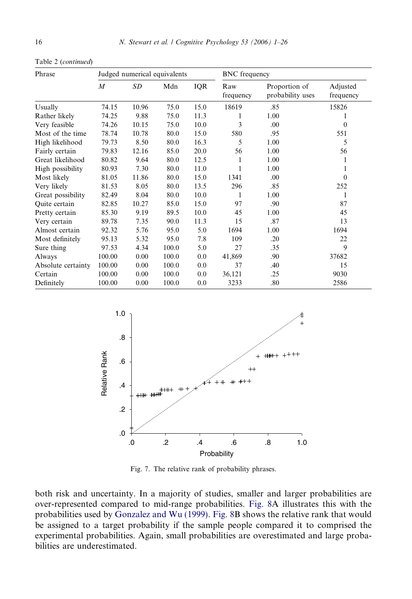| Phrase             | Judged numerical equivalents |       |       |            | <b>BNC</b> frequency |                                   |                       |
|--------------------|------------------------------|-------|-------|------------|----------------------|-----------------------------------|-----------------------|
|                    | M                            | SD    | Mdn   | <b>IQR</b> | Raw<br>frequency     | Proportion of<br>probability uses | Adjusted<br>frequency |
| Usually            | 74.15                        | 10.96 | 75.0  | 15.0       | 18619                | .85                               | 15826                 |
| Rather likely      | 74.25                        | 9.88  | 75.0  | 11.3       | 1                    | 1.00                              |                       |
| Very feasible      | 74.26                        | 10.15 | 75.0  | 10.0       | 3                    | .00                               | $\Omega$              |
| Most of the time   | 78.74                        | 10.78 | 80.0  | 15.0       | 580                  | .95                               | 551                   |
| High likelihood    | 79.73                        | 8.50  | 80.0  | 16.3       | 5                    | 1.00                              | 5                     |
| Fairly certain     | 79.83                        | 12.16 | 85.0  | 20.0       | 56                   | 1.00                              | 56                    |
| Great likelihood   | 80.82                        | 9.64  | 80.0  | 12.5       | 1                    | 1.00                              |                       |
| High possibility   | 80.93                        | 7.30  | 80.0  | 11.0       | 1                    | 1.00                              |                       |
| Most likely        | 81.05                        | 11.86 | 80.0  | 15.0       | 1341                 | .00                               | $\Omega$              |
| Very likely        | 81.53                        | 8.05  | 80.0  | 13.5       | 296                  | .85                               | 252                   |
| Great possibility  | 82.49                        | 8.04  | 80.0  | 10.0       | 1                    | 1.00                              | 1                     |
| Quite certain      | 82.85                        | 10.27 | 85.0  | 15.0       | 97                   | .90                               | 87                    |
| Pretty certain     | 85.30                        | 9.19  | 89.5  | 10.0       | 45                   | 1.00                              | 45                    |
| Very certain       | 89.78                        | 7.35  | 90.0  | 11.3       | 15                   | .87                               | 13                    |
| Almost certain     | 92.32                        | 5.76  | 95.0  | 5.0        | 1694                 | 1.00                              | 1694                  |
| Most definitely    | 95.13                        | 5.32  | 95.0  | 7.8        | 109                  | .20                               | 22                    |
| Sure thing         | 97.53                        | 4.34  | 100.0 | 5.0        | 27                   | .35                               | 9                     |
| Always             | 100.00                       | 0.00  | 100.0 | 0.0        | 41,869               | .90                               | 37682                 |
| Absolute certainty | 100.00                       | 0.00  | 100.0 | 0.0        | 37                   | .40                               | 15                    |
| Certain            | 100.00                       | 0.00  | 100.0 | 0.0        | 36,121               | .25                               | 9030                  |
| Definitely         | 100.00                       | 0.00  | 100.0 | 0.0        | 3233                 | .80                               | 2586                  |

Table 2 (continued)



Fig. 7. The relative rank of probability phrases.

<span id="page-15-0"></span>both risk and uncertainty. In a majority of studies, smaller and larger probabilities are over-represented compared to mid-range probabilities. [Fig. 8A](#page-16-0) illustrates this with the probabilities used by [Gonzalez and Wu \(1999\)](#page-23-0). [Fig. 8](#page-16-0)B shows the relative rank that would be assigned to a target probability if the sample people compared it to comprised the experimental probabilities. Again, small probabilities are overestimated and large probabilities are underestimated.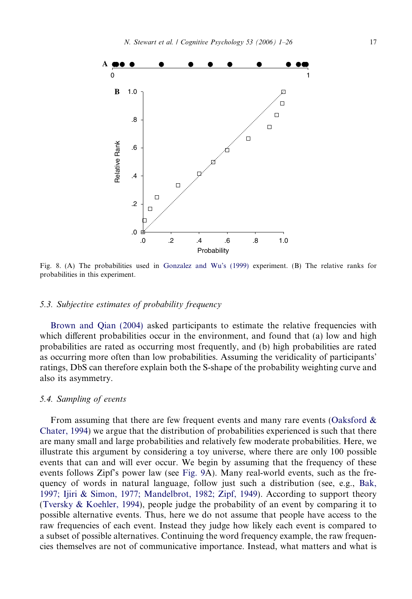

Fig. 8. (A) The probabilities used in [Gonzalez and Wu's \(1999\)](#page-23-0) experiment. (B) The relative ranks for probabilities in this experiment.

## 5.3. Subjective estimates of probability frequency

[Brown and Qian \(2004\)](#page-22-0) asked participants to estimate the relative frequencies with which different probabilities occur in the environment, and found that (a) low and high probabilities are rated as occurring most frequently, and (b) high probabilities are rated as occurring more often than low probabilities. Assuming the veridicality of participants' ratings, DbS can therefore explain both the S-shape of the probability weighting curve and also its asymmetry.

## 5.4. Sampling of events

<span id="page-16-0"></span>From assuming that there are few frequent events and many rare events (Oaksford  $\&$ [Chater, 1994\)](#page-24-0) we argue that the distribution of probabilities experienced is such that there are many small and large probabilities and relatively few moderate probabilities. Here, we illustrate this argument by considering a toy universe, where there are only 100 possible events that can and will ever occur. We begin by assuming that the frequency of these events follows Zipf's power law (see [Fig. 9](#page-17-0)A). Many real-world events, such as the frequency of words in natural language, follow just such a distribution (see, e.g., [Bak,](#page-21-0) [1997; Ijiri & Simon, 1977; Mandelbrot, 1982; Zipf, 1949\)](#page-21-0). According to support theory ([Tversky & Koehler, 1994](#page-24-0)), people judge the probability of an event by comparing it to possible alternative events. Thus, here we do not assume that people have access to the raw frequencies of each event. Instead they judge how likely each event is compared to a subset of possible alternatives. Continuing the word frequency example, the raw frequencies themselves are not of communicative importance. Instead, what matters and what is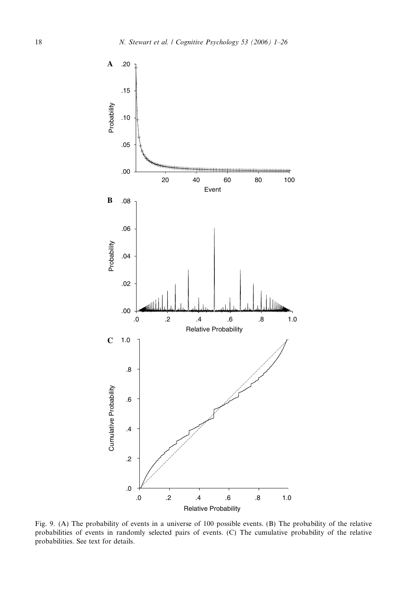

<span id="page-17-0"></span>Fig. 9. (A) The probability of events in a universe of 100 possible events. (B) The probability of the relative probabilities of events in randomly selected pairs of events. (C) The cumulative probability of the relative probabilities. See text for details.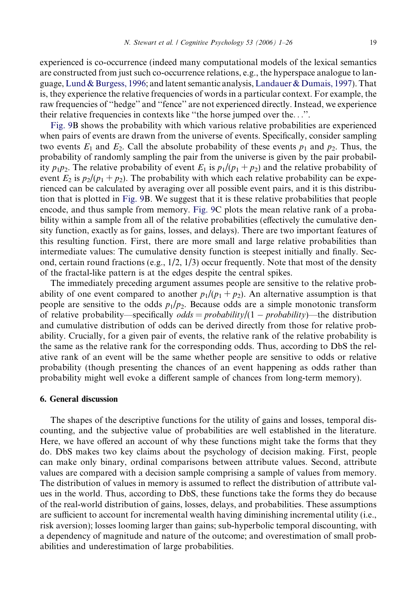experienced is co-occurrence (indeed many computational models of the lexical semantics are constructed from just such co-occurrence relations, e.g., the hyperspace analogue to language,[Lund & Burgess, 1996;](#page-23-0) and latent semantic analysis,[Landauer & Dumais, 1997\)](#page-23-0). That is, they experience the relative frequencies of words in a particular context. For example, the raw frequencies of ''hedge'' and ''fence'' are not experienced directly. Instead, we experience their relative frequencies in contexts like ''the horse jumped over the...''.

[Fig. 9](#page-17-0)B shows the probability with which various relative probabilities are experienced when pairs of events are drawn from the universe of events. Specifically, consider sampling two events  $E_1$  and  $E_2$ . Call the absolute probability of these events  $p_1$  and  $p_2$ . Thus, the probability of randomly sampling the pair from the universe is given by the pair probability  $p_1p_2$ . The relative probability of event  $E_1$  is  $p_1/(p_1 + p_2)$  and the relative probability of event  $E_2$  is  $p_2/(p_1 + p_2)$ . The probability with which each relative probability can be experienced can be calculated by averaging over all possible event pairs, and it is this distribution that is plotted in [Fig. 9B](#page-17-0). We suggest that it is these relative probabilities that people encode, and thus sample from memory. [Fig. 9C](#page-17-0) plots the mean relative rank of a probability within a sample from all of the relative probabilities (effectively the cumulative density function, exactly as for gains, losses, and delays). There are two important features of this resulting function. First, there are more small and large relative probabilities than intermediate values: The cumulative density function is steepest initially and finally. Second, certain round fractions (e.g.,  $1/2$ ,  $1/3$ ) occur frequently. Note that most of the density of the fractal-like pattern is at the edges despite the central spikes.

The immediately preceding argument assumes people are sensitive to the relative probability of one event compared to another  $p_1/(p_1 + p_2)$ . An alternative assumption is that people are sensitive to the odds  $p_1/p_2$ . Because odds are a simple monotonic transform of relative probability—specifically  $odds = probability/(1 - probability)$ —the distribution and cumulative distribution of odds can be derived directly from those for relative probability. Crucially, for a given pair of events, the relative rank of the relative probability is the same as the relative rank for the corresponding odds. Thus, according to DbS the relative rank of an event will be the same whether people are sensitive to odds or relative probability (though presenting the chances of an event happening as odds rather than probability might well evoke a different sample of chances from long-term memory).

#### 6. General discussion

<span id="page-18-0"></span>The shapes of the descriptive functions for the utility of gains and losses, temporal discounting, and the subjective value of probabilities are well established in the literature. Here, we have offered an account of why these functions might take the forms that they do. DbS makes two key claims about the psychology of decision making. First, people can make only binary, ordinal comparisons between attribute values. Second, attribute values are compared with a decision sample comprising a sample of values from memory. The distribution of values in memory is assumed to reflect the distribution of attribute values in the world. Thus, according to DbS, these functions take the forms they do because of the real-world distribution of gains, losses, delays, and probabilities. These assumptions are sufficient to account for incremental wealth having diminishing incremental utility (i.e., risk aversion); losses looming larger than gains; sub-hyperbolic temporal discounting, with a dependency of magnitude and nature of the outcome; and overestimation of small probabilities and underestimation of large probabilities.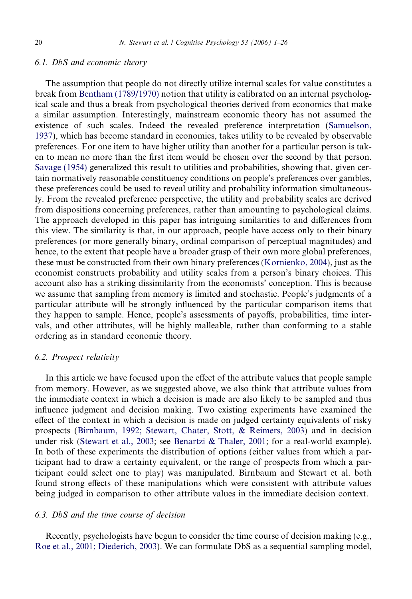#### 6.1. DbS and economic theory

The assumption that people do not directly utilize internal scales for value constitutes a break from [Bentham \(1789/1970\)](#page-22-0) notion that utility is calibrated on an internal psychological scale and thus a break from psychological theories derived from economics that make a similar assumption. Interestingly, mainstream economic theory has not assumed the existence of such scales. Indeed the revealed preference interpretation [\(Samuelson,](#page-24-0) [1937\)](#page-24-0), which has become standard in economics, takes utility to be revealed by observable preferences. For one item to have higher utility than another for a particular person is taken to mean no more than the first item would be chosen over the second by that person. [Savage \(1954\)](#page-24-0) generalized this result to utilities and probabilities, showing that, given certain normatively reasonable constituency conditions on people's preferences over gambles, these preferences could be used to reveal utility and probability information simultaneously. From the revealed preference perspective, the utility and probability scales are derived from dispositions concerning preferences, rather than amounting to psychological claims. The approach developed in this paper has intriguing similarities to and differences from this view. The similarity is that, in our approach, people have access only to their binary preferences (or more generally binary, ordinal comparison of perceptual magnitudes) and hence, to the extent that people have a broader grasp of their own more global preferences, these must be constructed from their own binary preferences [\(Kornienko, 2004\)](#page-23-0), just as the economist constructs probability and utility scales from a person's binary choices. This account also has a striking dissimilarity from the economists' conception. This is because we assume that sampling from memory is limited and stochastic. People's judgments of a particular attribute will be strongly influenced by the particular comparison items that they happen to sample. Hence, people's assessments of payoffs, probabilities, time intervals, and other attributes, will be highly malleable, rather than conforming to a stable ordering as in standard economic theory.

## 6.2. Prospect relativity

In this article we have focused upon the effect of the attribute values that people sample from memory. However, as we suggested above, we also think that attribute values from the immediate context in which a decision is made are also likely to be sampled and thus influence judgment and decision making. Two existing experiments have examined the effect of the context in which a decision is made on judged certainty equivalents of risky prospects [\(Birnbaum, 1992; Stewart, Chater, Stott, & Reimers, 2003\)](#page-22-0) and in decision under risk ([Stewart et al., 2003](#page-24-0); see [Benartzi & Thaler, 2001](#page-22-0); for a real-world example). In both of these experiments the distribution of options (either values from which a participant had to draw a certainty equivalent, or the range of prospects from which a participant could select one to play) was manipulated. Birnbaum and Stewart et al. both found strong effects of these manipulations which were consistent with attribute values being judged in comparison to other attribute values in the immediate decision context.

#### 6.3. DbS and the time course of decision

Recently, psychologists have begun to consider the time course of decision making (e.g., [Roe et al., 2001; Diederich, 2003](#page-24-0)). We can formulate DbS as a sequential sampling model,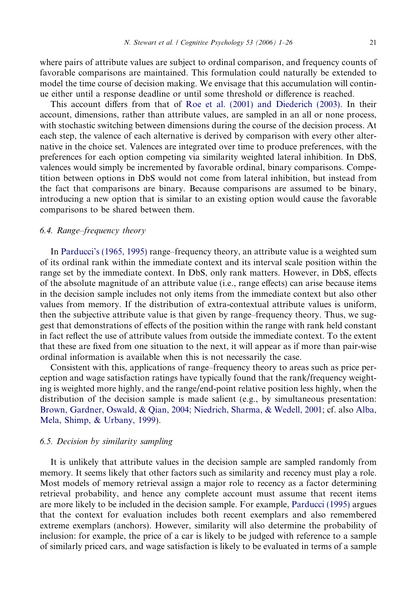where pairs of attribute values are subject to ordinal comparison, and frequency counts of favorable comparisons are maintained. This formulation could naturally be extended to model the time course of decision making. We envisage that this accumulation will continue either until a response deadline or until some threshold or difference is reached.

This account differs from that of [Roe et al. \(2001\) and Diederich \(2003\)](#page-24-0). In their account, dimensions, rather than attribute values, are sampled in an all or none process, with stochastic switching between dimensions during the course of the decision process. At each step, the valence of each alternative is derived by comparison with every other alternative in the choice set. Valences are integrated over time to produce preferences, with the preferences for each option competing via similarity weighted lateral inhibition. In DbS, valences would simply be incremented by favorable ordinal, binary comparisons. Competition between options in DbS would not come from lateral inhibition, but instead from the fact that comparisons are binary. Because comparisons are assumed to be binary, introducing a new option that is similar to an existing option would cause the favorable comparisons to be shared between them.

#### 6.4. Range–frequency theory

In [Parducci's \(1965, 1995\)](#page-24-0) range–frequency theory, an attribute value is a weighted sum of its ordinal rank within the immediate context and its interval scale position within the range set by the immediate context. In DbS, only rank matters. However, in DbS, effects of the absolute magnitude of an attribute value (i.e., range effects) can arise because items in the decision sample includes not only items from the immediate context but also other values from memory. If the distribution of extra-contextual attribute values is uniform, then the subjective attribute value is that given by range–frequency theory. Thus, we suggest that demonstrations of effects of the position within the range with rank held constant in fact reflect the use of attribute values from outside the immediate context. To the extent that these are fixed from one situation to the next, it will appear as if more than pair-wise ordinal information is available when this is not necessarily the case.

Consistent with this, applications of range–frequency theory to areas such as price perception and wage satisfaction ratings have typically found that the rank/frequency weighting is weighted more highly, and the range/end-point relative position less highly, when the distribution of the decision sample is made salient  $(e.g., by simultaneous presentation:$ [Brown, Gardner, Oswald, & Qian, 2004; Niedrich, Sharma, & Wedell, 2001](#page-22-0); cf. also [Alba,](#page-21-0) [Mela, Shimp, & Urbany, 1999\)](#page-21-0).

## 6.5. Decision by similarity sampling

It is unlikely that attribute values in the decision sample are sampled randomly from memory. It seems likely that other factors such as similarity and recency must play a role. Most models of memory retrieval assign a major role to recency as a factor determining retrieval probability, and hence any complete account must assume that recent items are more likely to be included in the decision sample. For example, [Parducci \(1995\)](#page-24-0) argues that the context for evaluation includes both recent exemplars and also remembered extreme exemplars (anchors). However, similarity will also determine the probability of inclusion: for example, the price of a car is likely to be judged with reference to a sample of similarly priced cars, and wage satisfaction is likely to be evaluated in terms of a sample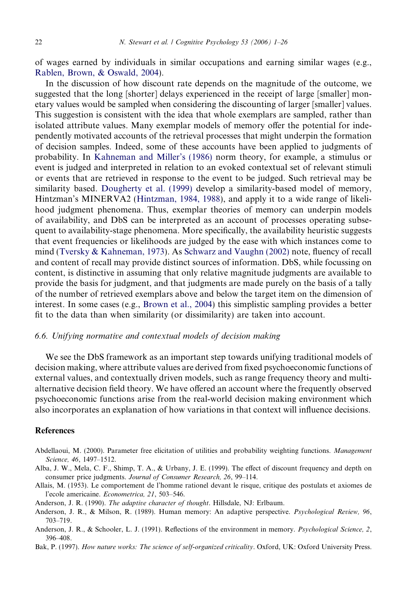of wages earned by individuals in similar occupations and earning similar wages (e.g., [Rablen, Brown, & Oswald, 2004](#page-24-0)).

In the discussion of how discount rate depends on the magnitude of the outcome, we suggested that the long [shorter] delays experienced in the receipt of large [smaller] monetary values would be sampled when considering the discounting of larger [smaller] values. This suggestion is consistent with the idea that whole exemplars are sampled, rather than isolated attribute values. Many exemplar models of memory offer the potential for independently motivated accounts of the retrieval processes that might underpin the formation of decision samples. Indeed, some of these accounts have been applied to judgments of probability. In [Kahneman and Miller's \(1986\)](#page-23-0) norm theory, for example, a stimulus or event is judged and interpreted in relation to an evoked contextual set of relevant stimuli or events that are retrieved in response to the event to be judged. Such retrieval may be similarity based. [Dougherty et al. \(1999\)](#page-22-0) develop a similarity-based model of memory, Hintzman's MINERVA2 [\(Hintzman, 1984, 1988](#page-23-0)), and apply it to a wide range of likelihood judgment phenomena. Thus, exemplar theories of memory can underpin models of availability, and DbS can be interpreted as an account of processes operating subsequent to availability-stage phenomena. More specifically, the availability heuristic suggests that event frequencies or likelihoods are judged by the ease with which instances come to mind ([Tversky & Kahneman, 1973\)](#page-24-0). As [Schwarz and Vaughn \(2002\)](#page-24-0) note, fluency of recall and content of recall may provide distinct sources of information. DbS, while focussing on content, is distinctive in assuming that only relative magnitude judgments are available to provide the basis for judgment, and that judgments are made purely on the basis of a tally of the number of retrieved exemplars above and below the target item on the dimension of interest. In some cases (e.g., [Brown et al., 2004](#page-22-0)) this simplistic sampling provides a better fit to the data than when similarity (or dissimilarity) are taken into account.

### 6.6. Unifying normative and contextual models of decision making

We see the DbS framework as an important step towards unifying traditional models of decision making, where attribute values are derived from fixed psychoeconomic functions of external values, and contextually driven models, such as range frequency theory and multialternative decision field theory. We have offered an account where the frequently observed psychoeconomic functions arise from the real-world decision making environment which also incorporates an explanation of how variations in that context will influence decisions.

#### **References**

- Abdellaoui, M. (2000). Parameter free elicitation of utilities and probability weighting functions. Management Science, 46, 1497–1512.
- Alba, J. W., Mela, C. F., Shimp, T. A., & Urbany, J. E. (1999). The effect of discount frequency and depth on consumer price judgments. Journal of Consumer Research, 26, 99–114.
- Allais, M. (1953). Le comportement de l'homme rationel devant le risque, critique des postulats et axiomes de l'ecole americaine. Econometrica, 21, 503–546.
- Anderson, J. R. (1990). The adaptive character of thought. Hillsdale, NJ: Erlbaum.
- Anderson, J. R., & Milson, R. (1989). Human memory: An adaptive perspective. Psychological Review, 96, 703–719.
- Anderson, J. R., & Schooler, L. J. (1991). Reflections of the environment in memory. *Psychological Science*, 2, 396–408.
- <span id="page-21-0"></span>Bak, P. (1997). How nature works: The science of self-organized criticality. Oxford, UK: Oxford University Press.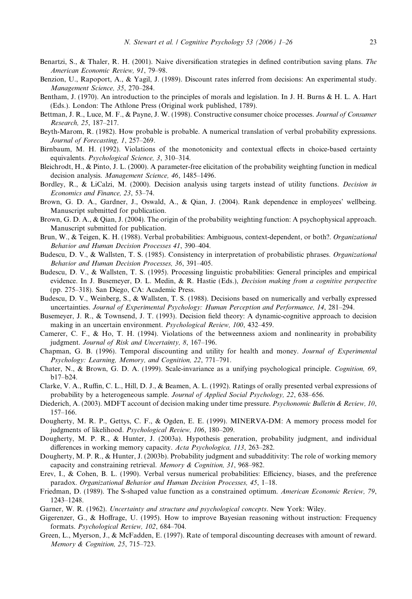- Benartzi, S., & Thaler, R. H. (2001). Naive diversification strategies in defined contribution saving plans. The American Economic Review, 91, 79–98.
- Benzion, U., Rapoport, A., & Yagil, J. (1989). Discount rates inferred from decisions: An experimental study. Management Science, 35, 270–284.
- Bentham, J. (1970). An introduction to the principles of morals and legislation. In J. H. Burns & H. L. A. Hart (Eds.). London: The Athlone Press (Original work published, 1789).
- Bettman, J. R., Luce, M. F., & Payne, J. W. (1998). Constructive consumer choice processes. Journal of Consumer Research, 25, 187–217.
- Beyth-Marom, R. (1982). How probable is probable. A numerical translation of verbal probability expressions. Journal of Forecasting, 1, 257–269.
- Birnbaum, M. H. (1992). Violations of the monotonicity and contextual effects in choice-based certainty equivalents. Psychological Science, 3, 310–314.
- Bleichrodt, H., & Pinto, J. L. (2000). A parameter-free elicitation of the probability weighting function in medical decision analysis. Management Science, 46, 1485–1496.
- Bordley, R., & LiCalzi, M. (2000). Decision analysis using targets instead of utility functions. *Decision in* Economics and Finance, 23, 53–74.
- Brown, G. D. A., Gardner, J., Oswald, A., & Qian, J. (2004). Rank dependence in employees' wellbeing. Manuscript submitted for publication.
- Brown, G. D. A., & Qian, J. (2004). The origin of the probability weighting function: A psychophysical approach. Manuscript submitted for publication.
- Brun, W., & Teigen, K. H. (1988). Verbal probabilities: Ambiguous, context-dependent, or both?. Organizational Behavior and Human Decision Processes 41, 390–404.
- Budescu, D. V., & Wallsten, T. S. (1985). Consistency in interpretation of probabilistic phrases. Organizational Behavior and Human Decision Processes, 36, 391–405.
- Budescu, D. V., & Wallsten, T. S. (1995). Processing linguistic probabilities: General principles and empirical evidence. In J. Busemeyer, D. L. Medin, & R. Hastie (Eds.), *Decision making from a cognitive perspective* (pp. 275–318). San Diego, CA: Academic Press.
- Budescu, D. V., Weinberg, S., & Wallsten, T. S. (1988). Decisions based on numerically and verbally expressed uncertainties. Journal of Experimental Psychology: Human Perception and Performance, 14, 281–294.
- Busemeyer, J. R., & Townsend, J. T. (1993). Decision field theory: A dynamic-cognitive approach to decision making in an uncertain environment. Psychological Review, 100, 432–459.
- Camerer, C. F., & Ho, T. H. (1994). Violations of the betweenness axiom and nonlinearity in probability judgment. Journal of Risk and Uncertainty, 8, 167-196.
- Chapman, G. B. (1996). Temporal discounting and utility for health and money. Journal of Experimental Psychology: Learning, Memory, and Cognition, 22, 771–791.
- Chater, N., & Brown, G. D. A. (1999). Scale-invariance as a unifying psychological principle. Cognition, 69, b17–b24.
- Clarke, V. A., Ruffin, C. L., Hill, D. J., & Beamen, A. L. (1992). Ratings of orally presented verbal expressions of probability by a heterogeneous sample. Journal of Applied Social Psychology, 22, 638–656.
- Diederich, A. (2003). MDFT account of decision making under time pressure. Psychonomic Bulletin & Review, 10, 157–166.
- Dougherty, M. R. P., Gettys, C. F., & Ogden, E. E. (1999). MINERVA-DM: A memory process model for judgments of likelihood. Psychological Review, 106, 180–209.
- Dougherty, M. P. R., & Hunter, J. (2003a). Hypothesis generation, probability judgment, and individual differences in working memory capacity. Acta Psychologica, 113, 263–282.
- Dougherty, M. P. R., & Hunter, J. (2003b). Probability judgment and subadditivity: The role of working memory capacity and constraining retrieval. Memory & Cognition, 31, 968–982.
- Erev, I., & Cohen, B. L. (1990). Verbal versus numerical probabilities: Efficiency, biases, and the preference paradox. Organizational Behavior and Human Decision Processes, 45, 1–18.
- Friedman, D. (1989). The S-shaped value function as a constrained optimum. American Economic Review, 79, 1243–1248.
- Garner, W. R. (1962). Uncertainty and structure and psychological concepts. New York: Wiley.
- Gigerenzer, G., & Hoffrage, U. (1995). How to improve Bayesian reasoning without instruction: Frequency formats. Psychological Review, 102, 684–704.
- <span id="page-22-0"></span>Green, L., Myerson, J., & McFadden, E. (1997). Rate of temporal discounting decreases with amount of reward. Memory & Cognition, 25, 715–723.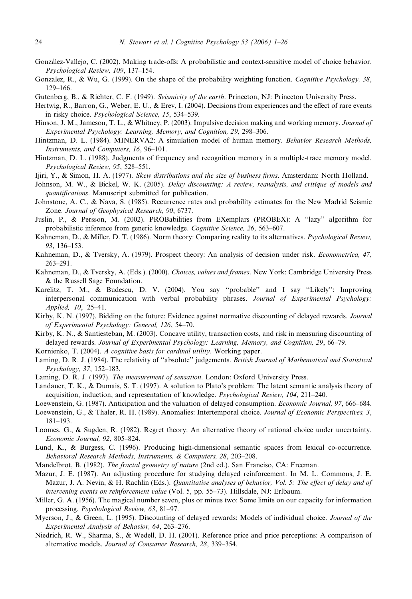- González-Vallejo, C. (2002). Making trade-offs: A probabilistic and context-sensitive model of choice behavior. Psychological Review, 109, 137–154.
- Gonzalez, R., & Wu, G. (1999). On the shape of the probability weighting function. Cognitive Psychology, 38, 129–166.
- Gutenberg, B., & Richter, C. F. (1949). Seismicity of the earth. Princeton, NJ: Princeton University Press.
- Hertwig, R., Barron, G., Weber, E. U., & Erev, I. (2004). Decisions from experiences and the effect of rare events in risky choice. Psychological Science, 15, 534–539.
- Hinson, J. M., Jameson, T. L., & Whitney, P. (2003). Impulsive decision making and working memory. Journal of Experimental Psychology: Learning, Memory, and Cognition, 29, 298–306.
- Hintzman, D. L. (1984). MINERVA2: A simulation model of human memory. Behavior Research Methods, Instruments, and Computers, 16, 96–101.
- Hintzman, D. L. (1988). Judgments of frequency and recognition memory in a multiple-trace memory model. Psychological Review, 95, 528–551.
- Ijiri, Y., & Simon, H. A. (1977). Skew distributions and the size of business firms. Amsterdam: North Holland.
- Johnson, M. W., & Bickel, W. K. (2005). Delay discounting: A review, reanalysis, and critique of models and quantifications. Manuscript submitted for publication.
- Johnstone, A. C., & Nava, S. (1985). Recurrence rates and probability estimates for the New Madrid Seismic Zone. Journal of Geophysical Research, 90, 6737.
- Juslin, P., & Persson, M. (2002). PROBabilities from EXemplars (PROBEX): A ''lazy'' algorithm for probabilistic inference from generic knowledge. Cognitive Science, 26, 563–607.
- Kahneman, D., & Miller, D. T. (1986). Norm theory: Comparing reality to its alternatives. Psychological Review, 93, 136–153.
- Kahneman, D., & Tversky, A. (1979). Prospect theory: An analysis of decision under risk. Econometrica, 47, 263–291.
- Kahneman, D., & Tversky, A. (Eds.). (2000). Choices, values and frames. New York: Cambridge University Press & the Russell Sage Foundation.
- Karelitz, T. M., & Budescu, D. V. (2004). You say ''probable'' and I say ''Likely'': Improving interpersonal communication with verbal probability phrases. Journal of Experimental Psychology: Applied, 10, 25–41.
- Kirby, K. N. (1997). Bidding on the future: Evidence against normative discounting of delayed rewards. Journal of Experimental Psychology: General, 126, 54–70.
- Kirby, K. N., & Santiesteban, M. (2003). Concave utility, transaction costs, and risk in measuring discounting of delayed rewards. Journal of Experimental Psychology: Learning, Memory, and Cognition, 29, 66-79.
- Kornienko, T. (2004). A cognitive basis for cardinal utility. Working paper.
- Laming, D. R. J. (1984). The relativity of "absolute" judgements. British Journal of Mathematical and Statistical Psychology, 37, 152–183.
- Laming, D. R. J. (1997). The measurement of sensation. London: Oxford University Press.
- Landauer, T. K., & Dumais, S. T. (1997). A solution to Plato's problem: The latent semantic analysis theory of acquisition, induction, and representation of knowledge. Psychological Review, 104, 211–240.
- Loewenstein, G. (1987). Anticipation and the valuation of delayed consumption. Economic Journal, 97, 666–684.
- Loewenstein, G., & Thaler, R. H. (1989). Anomalies: Intertemporal choice. Journal of Economic Perspectives, 3, 181–193.
- Loomes, G., & Sugden, R. (1982). Regret theory: An alternative theory of rational choice under uncertainty. Economic Journal, 92, 805–824.
- Lund, K., & Burgess, C. (1996). Producing high-dimensional semantic spaces from lexical co-occurrence. Behavioral Research Methods, Instruments, & Computers, 28, 203–208.
- Mandelbrot, B. (1982). The fractal geometry of nature (2nd ed.). San Franciso, CA: Freeman.
- Mazur, J. E. (1987). An adjusting procedure for studying delayed reinforcement. In M. L. Commons, J. E. Mazur, J. A. Nevin, & H. Rachlin (Eds.). Quantitative analyses of behavior, Vol. 5: The effect of delay and of intervening events on reinforcement value (Vol. 5, pp. 55–73). Hillsdale, NJ: Erlbaum.
- Miller, G. A. (1956). The magical number seven, plus or minus two: Some limits on our capacity for information processing. Psychological Review, 63, 81–97.
- Myerson, J., & Green, L. (1995). Discounting of delayed rewards: Models of individual choice. Journal of the Experimental Analysis of Behavior, 64, 263–276.
- <span id="page-23-0"></span>Niedrich, R. W., Sharma, S., & Wedell, D. H. (2001). Reference price and price perceptions: A comparison of alternative models. Journal of Consumer Research, 28, 339–354.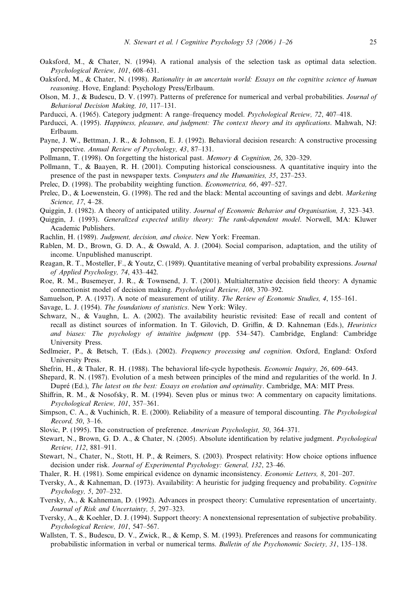- Oaksford, M., & Chater, N. (1994). A rational analysis of the selection task as optimal data selection. Psychological Review, 101, 608–631.
- Oaksford, M., & Chater, N. (1998). Rationality in an uncertain world: Essays on the cognitive science of human reasoning. Hove, England: Psychology Press/Erlbaum.
- Olson, M. J., & Budescu, D. V. (1997). Patterns of preference for numerical and verbal probabilities. Journal of Behavioral Decision Making, 10, 117–131.
- Parducci, A. (1965). Category judgment: A range–frequency model. Psychological Review, 72, 407–418.
- Parducci, A. (1995). Happiness, pleasure, and judgment: The context theory and its applications. Mahwah, NJ: Erlbaum.
- Payne, J. W., Bettman, J. R., & Johnson, E. J. (1992). Behavioral decision research: A constructive processing perspective. Annual Review of Psychology, 43, 87–131.
- Pollmann, T. (1998). On forgetting the historical past. Memory & Cognition, 26, 320–329.
- Pollmann, T., & Baayen, R. H. (2001). Computing historical consciousness. A quantitative inquiry into the presence of the past in newspaper texts. Computers and the Humanities, 35, 237–253.
- Prelec, D. (1998). The probability weighting function. *Econometrica*, 66, 497–527.
- Prelec, D., & Loewenstein, G. (1998). The red and the black: Mental accounting of savings and debt. Marketing Science, 17, 4–28.
- Quiggin, J. (1982). A theory of anticipated utility. Journal of Economic Behavior and Organisation, 3, 323–343.
- Quiggin, J. (1993). Generalized expected utility theory: The rank-dependent model. Norwell, MA: Kluwer Academic Publishers.
- Rachlin, H. (1989). Judgment, decision, and choice. New York: Freeman.
- Rablen, M. D., Brown, G. D. A., & Oswald, A. J. (2004). Social comparison, adaptation, and the utility of income. Unpublished manuscript.
- Reagan, R. T., Mosteller, F., & Youtz, C. (1989). Quantitative meaning of verbal probability expressions. Journal of Applied Psychology, 74, 433–442.
- Roe, R. M., Busemeyer, J. R., & Townsend, J. T. (2001). Multialternative decision field theory: A dynamic connectionist model of decision making. Psychological Review, 108, 370–392.
- Samuelson, P. A. (1937). A note of measurement of utility. The Review of Economic Studies, 4, 155–161.
- Savage, L. J. (1954). The foundations of statistics. New York: Wiley.
- Schwarz, N., & Vaughn, L. A. (2002). The availability heuristic revisited: Ease of recall and content of recall as distinct sources of information. In T. Gilovich, D. Griffin, & D. Kahneman (Eds.), Heuristics and biases: The psychology of intuitive judgment (pp. 534-547). Cambridge, England: Cambridge University Press.
- Sedlmeier, P., & Betsch, T. (Eds.). (2002). *Frequency processing and cognition*. Oxford, England: Oxford University Press.
- Shefrin, H., & Thaler, R. H. (1988). The behavioral life-cycle hypothesis. Economic Inquiry, 26, 609–643.
- Shepard, R. N. (1987). Evolution of a mesh between principles of the mind and regularities of the world. In J. Dupré (Ed.), The latest on the best: Essays on evolution and optimality. Cambridge, MA: MIT Press.
- Shiffrin, R. M., & Nosofsky, R. M. (1994). Seven plus or minus two: A commentary on capacity limitations. Psychological Review, 101, 357–361.
- Simpson, C. A., & Vuchinich, R. E. (2000). Reliability of a measure of temporal discounting. The Psychological Record, 50, 3–16.
- Slovic, P. (1995). The construction of preference. American Psychologist, 50, 364–371.
- Stewart, N., Brown, G. D. A., & Chater, N. (2005). Absolute identification by relative judgment. Psychological Review, 112, 881–911.
- Stewart, N., Chater, N., Stott, H. P., & Reimers, S. (2003). Prospect relativity: How choice options influence decision under risk. Journal of Experimental Psychology: General, 132, 23–46.
- Thaler, R. H. (1981). Some empirical evidence on dynamic inconsistency. Economic Letters, 8, 201–207.
- Tversky, A., & Kahneman, D. (1973). Availability: A heuristic for judging frequency and probability. Cognitive Psychology, 5, 207–232.
- Tversky, A., & Kahneman, D. (1992). Advances in prospect theory: Cumulative representation of uncertainty. Journal of Risk and Uncertainty, 5, 297–323.
- Tversky, A., & Koehler, D. J. (1994). Support theory: A nonextensional representation of subjective probability. Psychological Review, 101, 547–567.
- <span id="page-24-0"></span>Wallsten, T. S., Budescu, D. V., Zwick, R., & Kemp, S. M. (1993). Preferences and reasons for communicating probabilistic information in verbal or numerical terms. Bulletin of the Psychonomic Society, 31, 135–138.